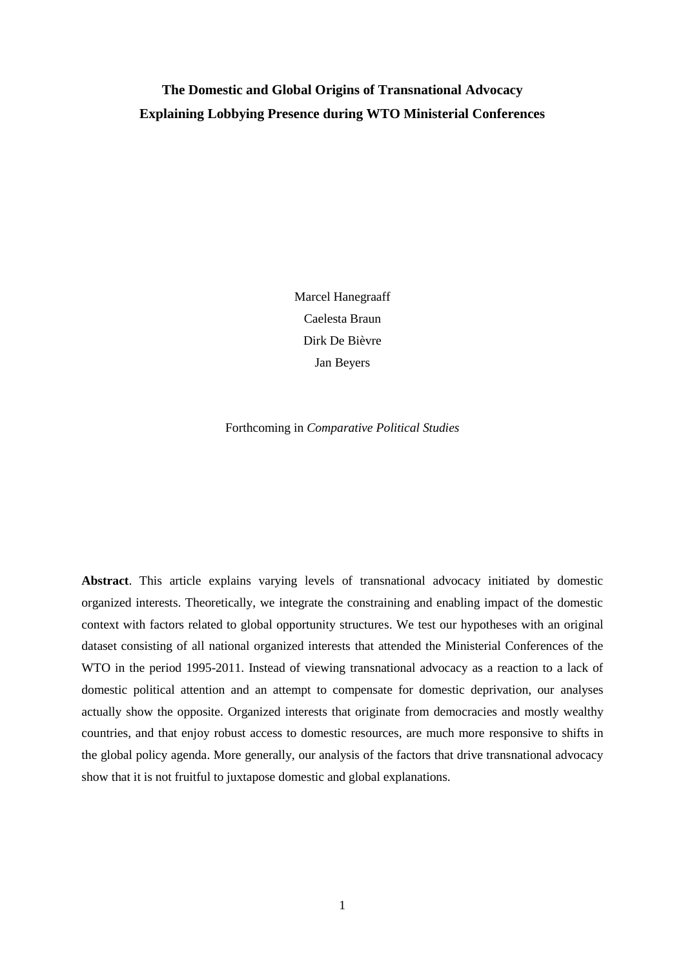# **The Domestic and Global Origins of Transnational Advocacy Explaining Lobbying Presence during WTO Ministerial Conferences**

Marcel Hanegraaff Caelesta Braun Dirk De Bièvre Jan Beyers

Forthcoming in *Comparative Political Studies*

**Abstract**. This article explains varying levels of transnational advocacy initiated by domestic organized interests. Theoretically, we integrate the constraining and enabling impact of the domestic context with factors related to global opportunity structures. We test our hypotheses with an original dataset consisting of all national organized interests that attended the Ministerial Conferences of the WTO in the period 1995-2011. Instead of viewing transnational advocacy as a reaction to a lack of domestic political attention and an attempt to compensate for domestic deprivation, our analyses actually show the opposite. Organized interests that originate from democracies and mostly wealthy countries, and that enjoy robust access to domestic resources, are much more responsive to shifts in the global policy agenda. More generally, our analysis of the factors that drive transnational advocacy show that it is not fruitful to juxtapose domestic and global explanations.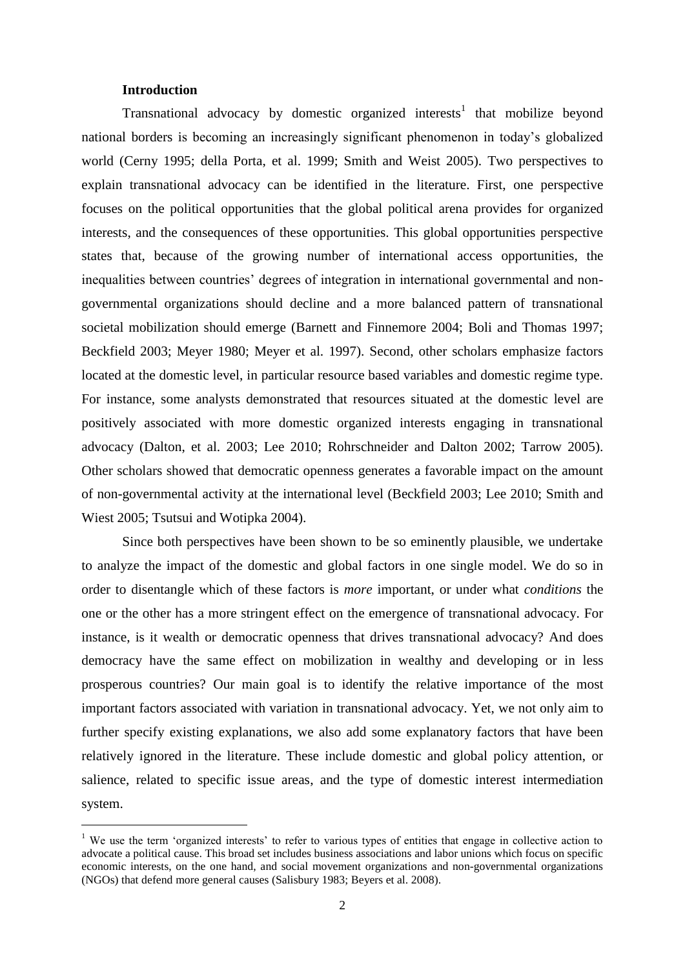#### **Introduction**

 $\overline{a}$ 

Transnational advocacy by domestic organized interests<sup>1</sup> that mobilize beyond national borders is becoming an increasingly significant phenomenon in today's globalized world (Cerny 1995; della Porta, et al. 1999; Smith and Weist 2005). Two perspectives to explain transnational advocacy can be identified in the literature. First, one perspective focuses on the political opportunities that the global political arena provides for organized interests, and the consequences of these opportunities. This global opportunities perspective states that, because of the growing number of international access opportunities, the inequalities between countries' degrees of integration in international governmental and nongovernmental organizations should decline and a more balanced pattern of transnational societal mobilization should emerge (Barnett and Finnemore 2004; Boli and Thomas 1997; Beckfield 2003; Meyer 1980; Meyer et al. 1997). Second, other scholars emphasize factors located at the domestic level, in particular resource based variables and domestic regime type. For instance, some analysts demonstrated that resources situated at the domestic level are positively associated with more domestic organized interests engaging in transnational advocacy (Dalton, et al. 2003; Lee 2010; Rohrschneider and Dalton 2002; Tarrow 2005). Other scholars showed that democratic openness generates a favorable impact on the amount of non-governmental activity at the international level (Beckfield 2003; Lee 2010; Smith and Wiest 2005; Tsutsui and Wotipka 2004).

Since both perspectives have been shown to be so eminently plausible, we undertake to analyze the impact of the domestic and global factors in one single model. We do so in order to disentangle which of these factors is *more* important, or under what *conditions* the one or the other has a more stringent effect on the emergence of transnational advocacy. For instance, is it wealth or democratic openness that drives transnational advocacy? And does democracy have the same effect on mobilization in wealthy and developing or in less prosperous countries? Our main goal is to identify the relative importance of the most important factors associated with variation in transnational advocacy. Yet, we not only aim to further specify existing explanations, we also add some explanatory factors that have been relatively ignored in the literature. These include domestic and global policy attention, or salience, related to specific issue areas, and the type of domestic interest intermediation system.

<sup>&</sup>lt;sup>1</sup> We use the term 'organized interests' to refer to various types of entities that engage in collective action to advocate a political cause. This broad set includes business associations and labor unions which focus on specific economic interests, on the one hand, and social movement organizations and non-governmental organizations (NGOs) that defend more general causes (Salisbury 1983; Beyers et al. 2008).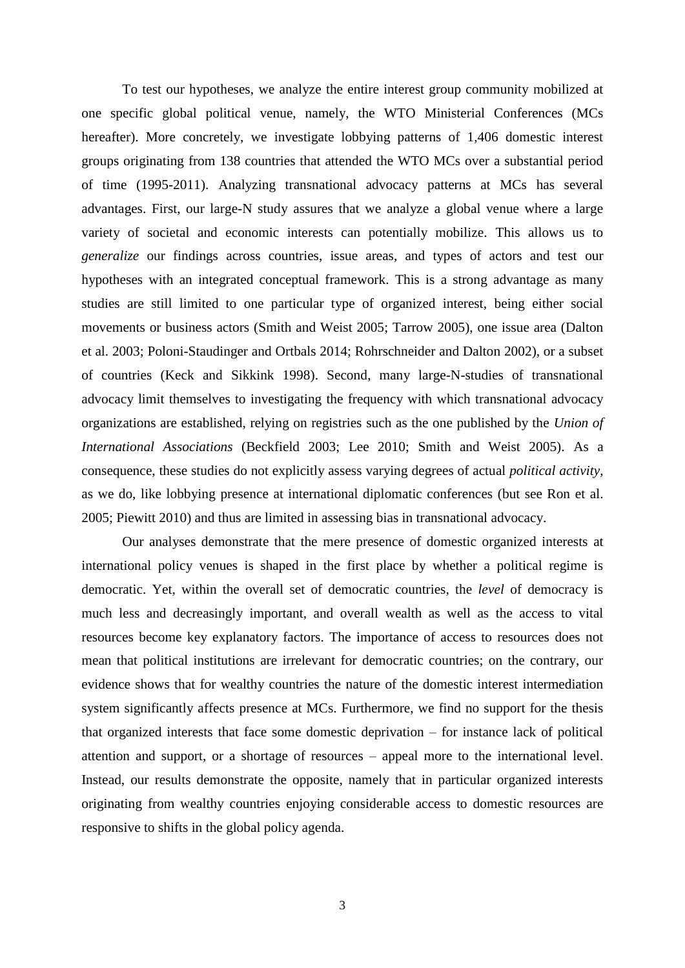To test our hypotheses, we analyze the entire interest group community mobilized at one specific global political venue, namely, the WTO Ministerial Conferences (MCs hereafter). More concretely, we investigate lobbying patterns of 1,406 domestic interest groups originating from 138 countries that attended the WTO MCs over a substantial period of time (1995-2011). Analyzing transnational advocacy patterns at MCs has several advantages. First, our large-N study assures that we analyze a global venue where a large variety of societal and economic interests can potentially mobilize. This allows us to *generalize* our findings across countries, issue areas, and types of actors and test our hypotheses with an integrated conceptual framework. This is a strong advantage as many studies are still limited to one particular type of organized interest, being either social movements or business actors (Smith and Weist 2005; Tarrow 2005), one issue area (Dalton et al. 2003; Poloni-Staudinger and Ortbals 2014; Rohrschneider and Dalton 2002), or a subset of countries (Keck and Sikkink 1998). Second, many large-N-studies of transnational advocacy limit themselves to investigating the frequency with which transnational advocacy organizations are established, relying on registries such as the one published by the *Union of International Associations* (Beckfield 2003; Lee 2010; Smith and Weist 2005). As a consequence, these studies do not explicitly assess varying degrees of actual *political activity*, as we do, like lobbying presence at international diplomatic conferences (but see Ron et al. 2005; Piewitt 2010) and thus are limited in assessing bias in transnational advocacy.

Our analyses demonstrate that the mere presence of domestic organized interests at international policy venues is shaped in the first place by whether a political regime is democratic. Yet, within the overall set of democratic countries, the *level* of democracy is much less and decreasingly important, and overall wealth as well as the access to vital resources become key explanatory factors. The importance of access to resources does not mean that political institutions are irrelevant for democratic countries; on the contrary, our evidence shows that for wealthy countries the nature of the domestic interest intermediation system significantly affects presence at MCs. Furthermore, we find no support for the thesis that organized interests that face some domestic deprivation – for instance lack of political attention and support, or a shortage of resources – appeal more to the international level. Instead, our results demonstrate the opposite, namely that in particular organized interests originating from wealthy countries enjoying considerable access to domestic resources are responsive to shifts in the global policy agenda.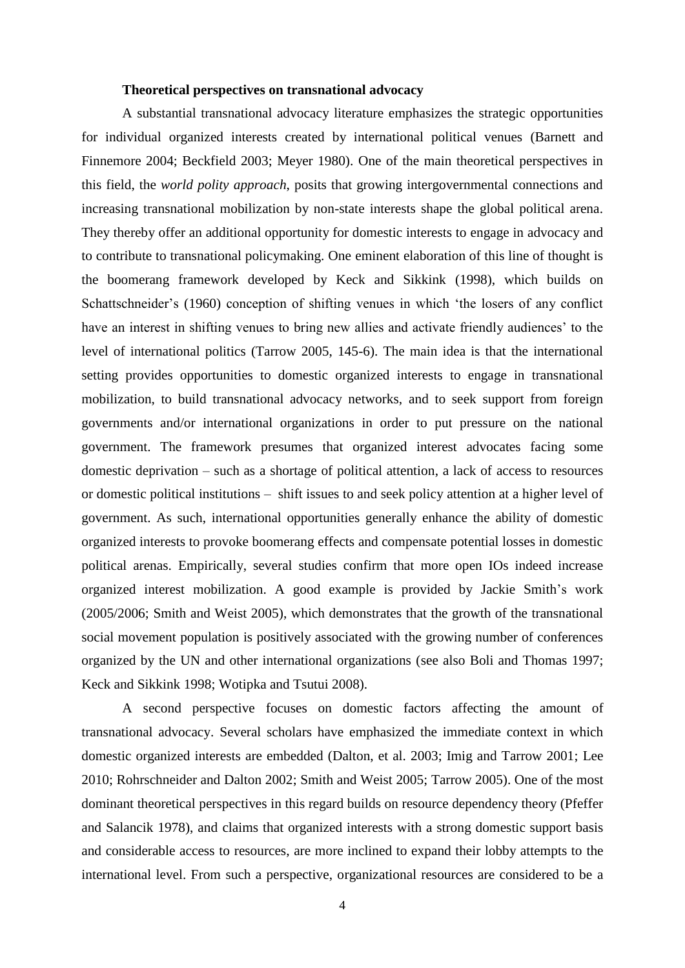#### **Theoretical perspectives on transnational advocacy**

A substantial transnational advocacy literature emphasizes the strategic opportunities for individual organized interests created by international political venues (Barnett and Finnemore 2004; Beckfield 2003; Meyer 1980). One of the main theoretical perspectives in this field, the *world polity approach*, posits that growing intergovernmental connections and increasing transnational mobilization by non-state interests shape the global political arena. They thereby offer an additional opportunity for domestic interests to engage in advocacy and to contribute to transnational policymaking. One eminent elaboration of this line of thought is the boomerang framework developed by Keck and Sikkink (1998), which builds on Schattschneider's (1960) conception of shifting venues in which 'the losers of any conflict have an interest in shifting venues to bring new allies and activate friendly audiences' to the level of international politics (Tarrow 2005, 145-6). The main idea is that the international setting provides opportunities to domestic organized interests to engage in transnational mobilization, to build transnational advocacy networks, and to seek support from foreign governments and/or international organizations in order to put pressure on the national government. The framework presumes that organized interest advocates facing some domestic deprivation – such as a shortage of political attention, a lack of access to resources or domestic political institutions – shift issues to and seek policy attention at a higher level of government. As such, international opportunities generally enhance the ability of domestic organized interests to provoke boomerang effects and compensate potential losses in domestic political arenas. Empirically, several studies confirm that more open IOs indeed increase organized interest mobilization. A good example is provided by Jackie Smith's work (2005/2006; Smith and Weist 2005), which demonstrates that the growth of the transnational social movement population is positively associated with the growing number of conferences organized by the UN and other international organizations (see also Boli and Thomas 1997; Keck and Sikkink 1998; Wotipka and Tsutui 2008).

A second perspective focuses on domestic factors affecting the amount of transnational advocacy. Several scholars have emphasized the immediate context in which domestic organized interests are embedded (Dalton, et al. 2003; Imig and Tarrow 2001; Lee 2010; Rohrschneider and Dalton 2002; Smith and Weist 2005; Tarrow 2005). One of the most dominant theoretical perspectives in this regard builds on resource dependency theory (Pfeffer and Salancik 1978), and claims that organized interests with a strong domestic support basis and considerable access to resources, are more inclined to expand their lobby attempts to the international level. From such a perspective, organizational resources are considered to be a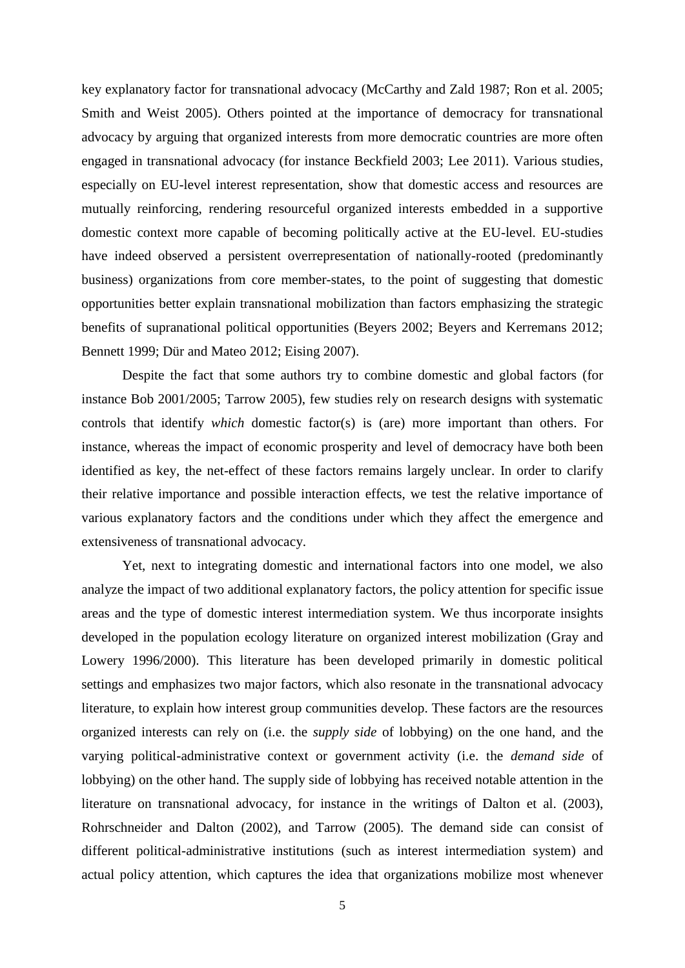key explanatory factor for transnational advocacy (McCarthy and Zald 1987; Ron et al. 2005; Smith and Weist 2005). Others pointed at the importance of democracy for transnational advocacy by arguing that organized interests from more democratic countries are more often engaged in transnational advocacy (for instance Beckfield 2003; Lee 2011). Various studies, especially on EU-level interest representation, show that domestic access and resources are mutually reinforcing, rendering resourceful organized interests embedded in a supportive domestic context more capable of becoming politically active at the EU-level. EU-studies have indeed observed a persistent overrepresentation of nationally-rooted (predominantly business) organizations from core member-states, to the point of suggesting that domestic opportunities better explain transnational mobilization than factors emphasizing the strategic benefits of supranational political opportunities (Beyers 2002; Beyers and Kerremans 2012; Bennett 1999; Dür and Mateo 2012; Eising 2007).

Despite the fact that some authors try to combine domestic and global factors (for instance Bob 2001/2005; Tarrow 2005), few studies rely on research designs with systematic controls that identify *which* domestic factor(s) is (are) more important than others. For instance, whereas the impact of economic prosperity and level of democracy have both been identified as key, the net-effect of these factors remains largely unclear. In order to clarify their relative importance and possible interaction effects, we test the relative importance of various explanatory factors and the conditions under which they affect the emergence and extensiveness of transnational advocacy.

Yet, next to integrating domestic and international factors into one model, we also analyze the impact of two additional explanatory factors, the policy attention for specific issue areas and the type of domestic interest intermediation system. We thus incorporate insights developed in the population ecology literature on organized interest mobilization (Gray and Lowery 1996/2000). This literature has been developed primarily in domestic political settings and emphasizes two major factors, which also resonate in the transnational advocacy literature, to explain how interest group communities develop. These factors are the resources organized interests can rely on (i.e. the *supply side* of lobbying) on the one hand, and the varying political-administrative context or government activity (i.e. the *demand side* of lobbying) on the other hand. The supply side of lobbying has received notable attention in the literature on transnational advocacy, for instance in the writings of Dalton et al. (2003), Rohrschneider and Dalton (2002), and Tarrow (2005). The demand side can consist of different political-administrative institutions (such as interest intermediation system) and actual policy attention, which captures the idea that organizations mobilize most whenever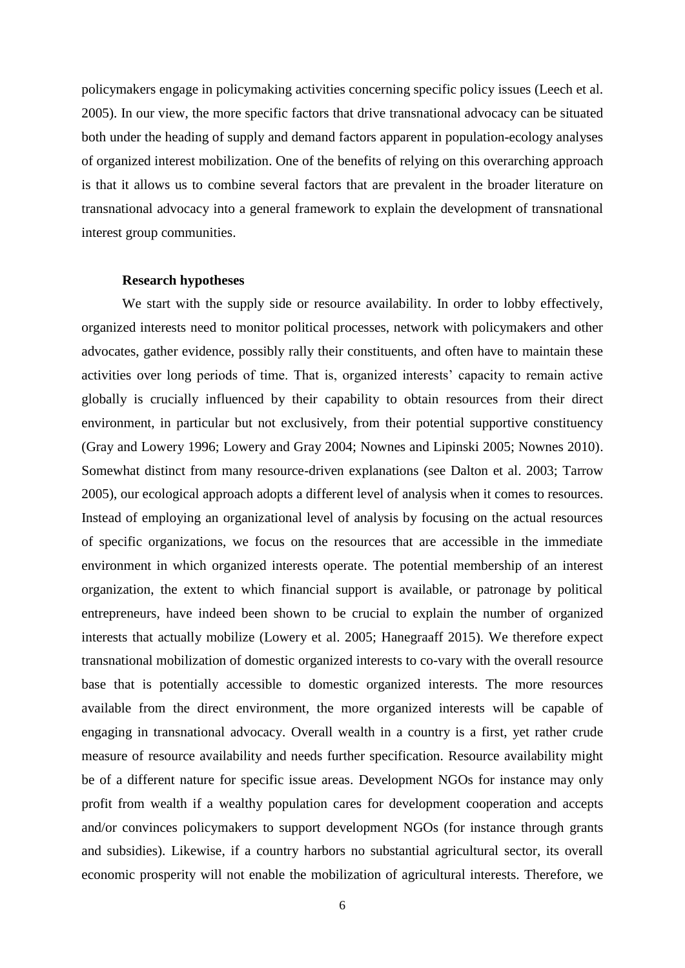policymakers engage in policymaking activities concerning specific policy issues (Leech et al. 2005). In our view, the more specific factors that drive transnational advocacy can be situated both under the heading of supply and demand factors apparent in population-ecology analyses of organized interest mobilization. One of the benefits of relying on this overarching approach is that it allows us to combine several factors that are prevalent in the broader literature on transnational advocacy into a general framework to explain the development of transnational interest group communities.

#### **Research hypotheses**

We start with the supply side or resource availability. In order to lobby effectively, organized interests need to monitor political processes, network with policymakers and other advocates, gather evidence, possibly rally their constituents, and often have to maintain these activities over long periods of time. That is, organized interests' capacity to remain active globally is crucially influenced by their capability to obtain resources from their direct environment, in particular but not exclusively, from their potential supportive constituency (Gray and Lowery 1996; Lowery and Gray 2004; Nownes and Lipinski 2005; Nownes 2010). Somewhat distinct from many resource-driven explanations (see Dalton et al. 2003; Tarrow 2005), our ecological approach adopts a different level of analysis when it comes to resources. Instead of employing an organizational level of analysis by focusing on the actual resources of specific organizations, we focus on the resources that are accessible in the immediate environment in which organized interests operate. The potential membership of an interest organization, the extent to which financial support is available, or patronage by political entrepreneurs, have indeed been shown to be crucial to explain the number of organized interests that actually mobilize (Lowery et al. 2005; Hanegraaff 2015). We therefore expect transnational mobilization of domestic organized interests to co-vary with the overall resource base that is potentially accessible to domestic organized interests. The more resources available from the direct environment, the more organized interests will be capable of engaging in transnational advocacy. Overall wealth in a country is a first, yet rather crude measure of resource availability and needs further specification. Resource availability might be of a different nature for specific issue areas. Development NGOs for instance may only profit from wealth if a wealthy population cares for development cooperation and accepts and/or convinces policymakers to support development NGOs (for instance through grants and subsidies). Likewise, if a country harbors no substantial agricultural sector, its overall economic prosperity will not enable the mobilization of agricultural interests. Therefore, we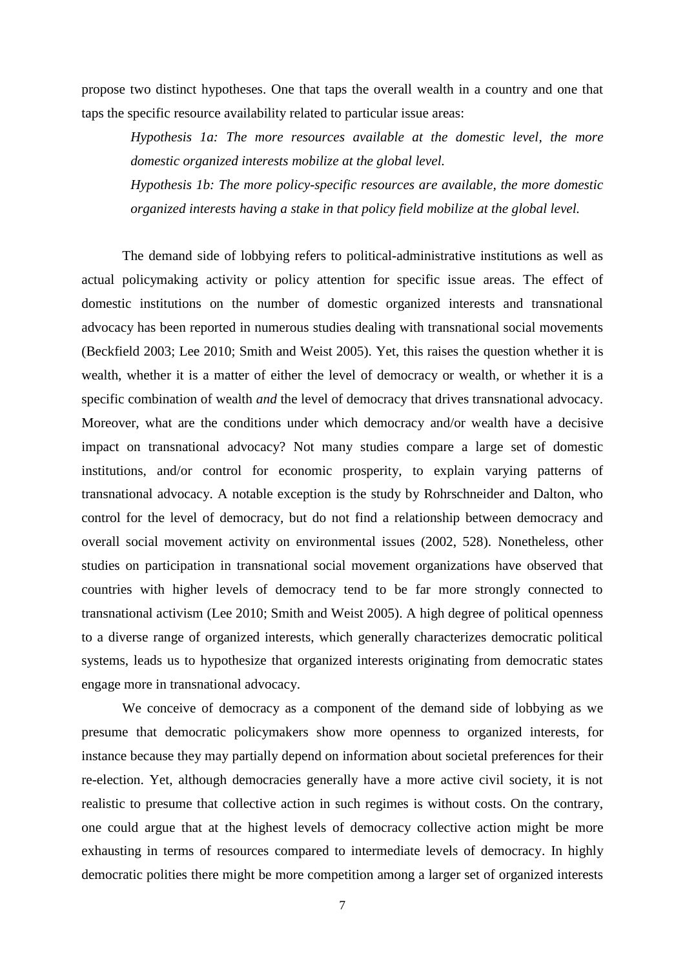propose two distinct hypotheses. One that taps the overall wealth in a country and one that taps the specific resource availability related to particular issue areas:

*Hypothesis 1a: The more resources available at the domestic level, the more domestic organized interests mobilize at the global level.*

*Hypothesis 1b: The more policy-specific resources are available, the more domestic organized interests having a stake in that policy field mobilize at the global level.*

The demand side of lobbying refers to political-administrative institutions as well as actual policymaking activity or policy attention for specific issue areas. The effect of domestic institutions on the number of domestic organized interests and transnational advocacy has been reported in numerous studies dealing with transnational social movements (Beckfield 2003; Lee 2010; Smith and Weist 2005). Yet, this raises the question whether it is wealth, whether it is a matter of either the level of democracy or wealth, or whether it is a specific combination of wealth *and* the level of democracy that drives transnational advocacy. Moreover, what are the conditions under which democracy and/or wealth have a decisive impact on transnational advocacy? Not many studies compare a large set of domestic institutions, and/or control for economic prosperity, to explain varying patterns of transnational advocacy. A notable exception is the study by Rohrschneider and Dalton, who control for the level of democracy, but do not find a relationship between democracy and overall social movement activity on environmental issues (2002, 528). Nonetheless, other studies on participation in transnational social movement organizations have observed that countries with higher levels of democracy tend to be far more strongly connected to transnational activism (Lee 2010; Smith and Weist 2005). A high degree of political openness to a diverse range of organized interests, which generally characterizes democratic political systems, leads us to hypothesize that organized interests originating from democratic states engage more in transnational advocacy.

We conceive of democracy as a component of the demand side of lobbying as we presume that democratic policymakers show more openness to organized interests, for instance because they may partially depend on information about societal preferences for their re-election. Yet, although democracies generally have a more active civil society, it is not realistic to presume that collective action in such regimes is without costs. On the contrary, one could argue that at the highest levels of democracy collective action might be more exhausting in terms of resources compared to intermediate levels of democracy. In highly democratic polities there might be more competition among a larger set of organized interests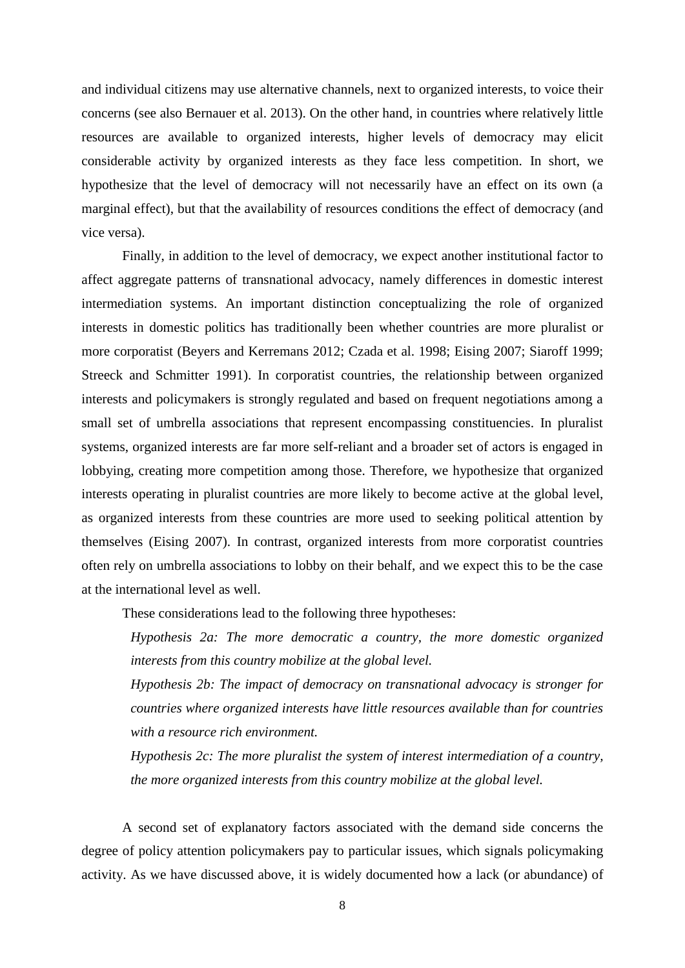and individual citizens may use alternative channels, next to organized interests, to voice their concerns (see also Bernauer et al. 2013). On the other hand, in countries where relatively little resources are available to organized interests, higher levels of democracy may elicit considerable activity by organized interests as they face less competition. In short, we hypothesize that the level of democracy will not necessarily have an effect on its own (a marginal effect), but that the availability of resources conditions the effect of democracy (and vice versa).

Finally, in addition to the level of democracy, we expect another institutional factor to affect aggregate patterns of transnational advocacy, namely differences in domestic interest intermediation systems. An important distinction conceptualizing the role of organized interests in domestic politics has traditionally been whether countries are more pluralist or more corporatist (Beyers and Kerremans 2012; Czada et al. 1998; Eising 2007; Siaroff 1999; Streeck and Schmitter 1991). In corporatist countries, the relationship between organized interests and policymakers is strongly regulated and based on frequent negotiations among a small set of umbrella associations that represent encompassing constituencies. In pluralist systems, organized interests are far more self-reliant and a broader set of actors is engaged in lobbying, creating more competition among those. Therefore, we hypothesize that organized interests operating in pluralist countries are more likely to become active at the global level, as organized interests from these countries are more used to seeking political attention by themselves (Eising 2007). In contrast, organized interests from more corporatist countries often rely on umbrella associations to lobby on their behalf, and we expect this to be the case at the international level as well.

These considerations lead to the following three hypotheses:

*Hypothesis 2a: The more democratic a country, the more domestic organized interests from this country mobilize at the global level.*

*Hypothesis 2b: The impact of democracy on transnational advocacy is stronger for countries where organized interests have little resources available than for countries with a resource rich environment.*

*Hypothesis 2c: The more pluralist the system of interest intermediation of a country, the more organized interests from this country mobilize at the global level.*

A second set of explanatory factors associated with the demand side concerns the degree of policy attention policymakers pay to particular issues, which signals policymaking activity. As we have discussed above, it is widely documented how a lack (or abundance) of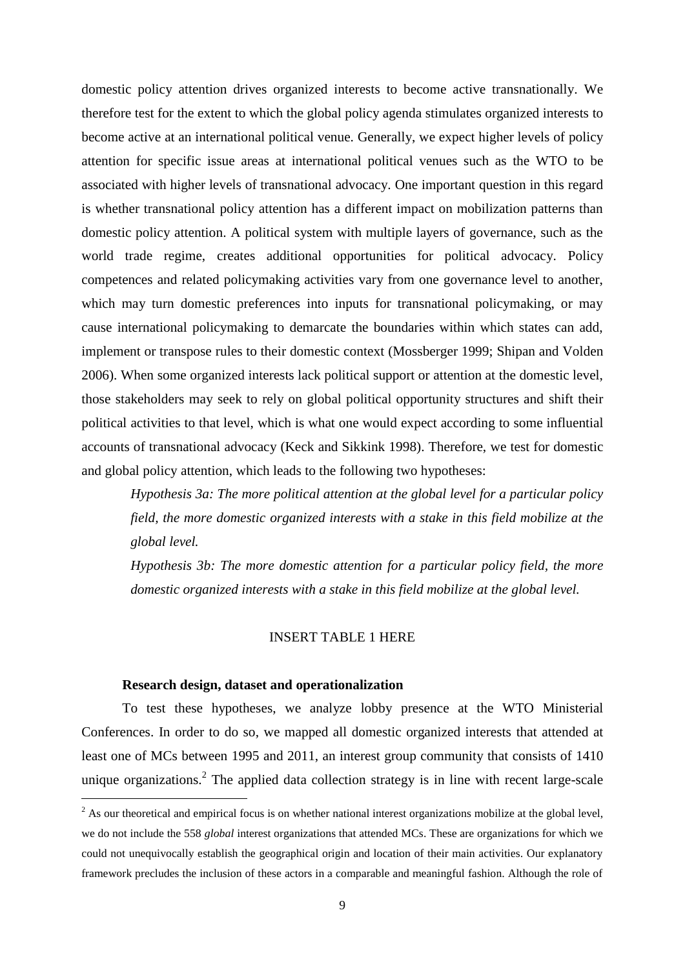domestic policy attention drives organized interests to become active transnationally. We therefore test for the extent to which the global policy agenda stimulates organized interests to become active at an international political venue. Generally, we expect higher levels of policy attention for specific issue areas at international political venues such as the WTO to be associated with higher levels of transnational advocacy. One important question in this regard is whether transnational policy attention has a different impact on mobilization patterns than domestic policy attention. A political system with multiple layers of governance, such as the world trade regime, creates additional opportunities for political advocacy. Policy competences and related policymaking activities vary from one governance level to another, which may turn domestic preferences into inputs for transnational policymaking, or may cause international policymaking to demarcate the boundaries within which states can add, implement or transpose rules to their domestic context (Mossberger 1999; Shipan and Volden 2006). When some organized interests lack political support or attention at the domestic level, those stakeholders may seek to rely on global political opportunity structures and shift their political activities to that level, which is what one would expect according to some influential accounts of transnational advocacy (Keck and Sikkink 1998). Therefore, we test for domestic and global policy attention, which leads to the following two hypotheses:

*Hypothesis 3a: The more political attention at the global level for a particular policy field, the more domestic organized interests with a stake in this field mobilize at the global level.*

*Hypothesis 3b: The more domestic attention for a particular policy field, the more domestic organized interests with a stake in this field mobilize at the global level.*

# INSERT TABLE 1 HERE

# **Research design, dataset and operationalization**

 $\overline{\phantom{a}}$ 

To test these hypotheses, we analyze lobby presence at the WTO Ministerial Conferences. In order to do so, we mapped all domestic organized interests that attended at least one of MCs between 1995 and 2011, an interest group community that consists of 1410 unique organizations.<sup>2</sup> The applied data collection strategy is in line with recent large-scale

<sup>&</sup>lt;sup>2</sup> As our theoretical and empirical focus is on whether national interest organizations mobilize at the global level, we do not include the 558 *global* interest organizations that attended MCs. These are organizations for which we could not unequivocally establish the geographical origin and location of their main activities. Our explanatory framework precludes the inclusion of these actors in a comparable and meaningful fashion. Although the role of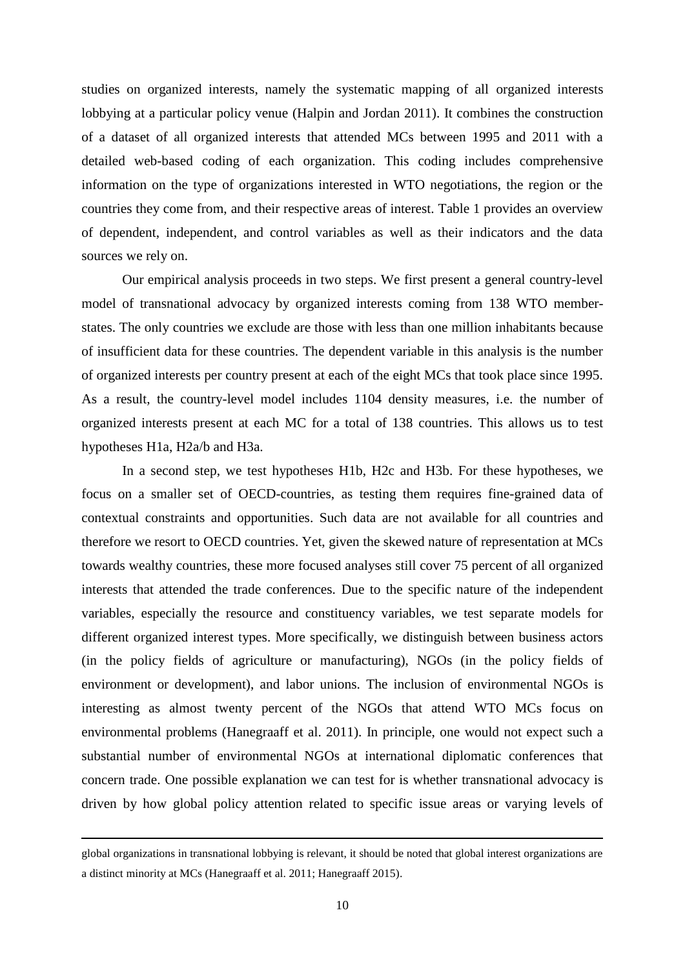studies on organized interests, namely the systematic mapping of all organized interests lobbying at a particular policy venue (Halpin and Jordan 2011). It combines the construction of a dataset of all organized interests that attended MCs between 1995 and 2011 with a detailed web-based coding of each organization. This coding includes comprehensive information on the type of organizations interested in WTO negotiations, the region or the countries they come from, and their respective areas of interest. Table 1 provides an overview of dependent, independent, and control variables as well as their indicators and the data sources we rely on.

Our empirical analysis proceeds in two steps. We first present a general country-level model of transnational advocacy by organized interests coming from 138 WTO memberstates. The only countries we exclude are those with less than one million inhabitants because of insufficient data for these countries. The dependent variable in this analysis is the number of organized interests per country present at each of the eight MCs that took place since 1995. As a result, the country-level model includes 1104 density measures, i.e. the number of organized interests present at each MC for a total of 138 countries. This allows us to test hypotheses H1a, H2a/b and H3a.

In a second step, we test hypotheses H1b, H2c and H3b. For these hypotheses, we focus on a smaller set of OECD-countries, as testing them requires fine-grained data of contextual constraints and opportunities. Such data are not available for all countries and therefore we resort to OECD countries. Yet, given the skewed nature of representation at MCs towards wealthy countries, these more focused analyses still cover 75 percent of all organized interests that attended the trade conferences. Due to the specific nature of the independent variables, especially the resource and constituency variables, we test separate models for different organized interest types. More specifically, we distinguish between business actors (in the policy fields of agriculture or manufacturing), NGOs (in the policy fields of environment or development), and labor unions. The inclusion of environmental NGOs is interesting as almost twenty percent of the NGOs that attend WTO MCs focus on environmental problems (Hanegraaff et al. 2011). In principle, one would not expect such a substantial number of environmental NGOs at international diplomatic conferences that concern trade. One possible explanation we can test for is whether transnational advocacy is driven by how global policy attention related to specific issue areas or varying levels of

global organizations in transnational lobbying is relevant, it should be noted that global interest organizations are a distinct minority at MCs (Hanegraaff et al. 2011; Hanegraaff 2015).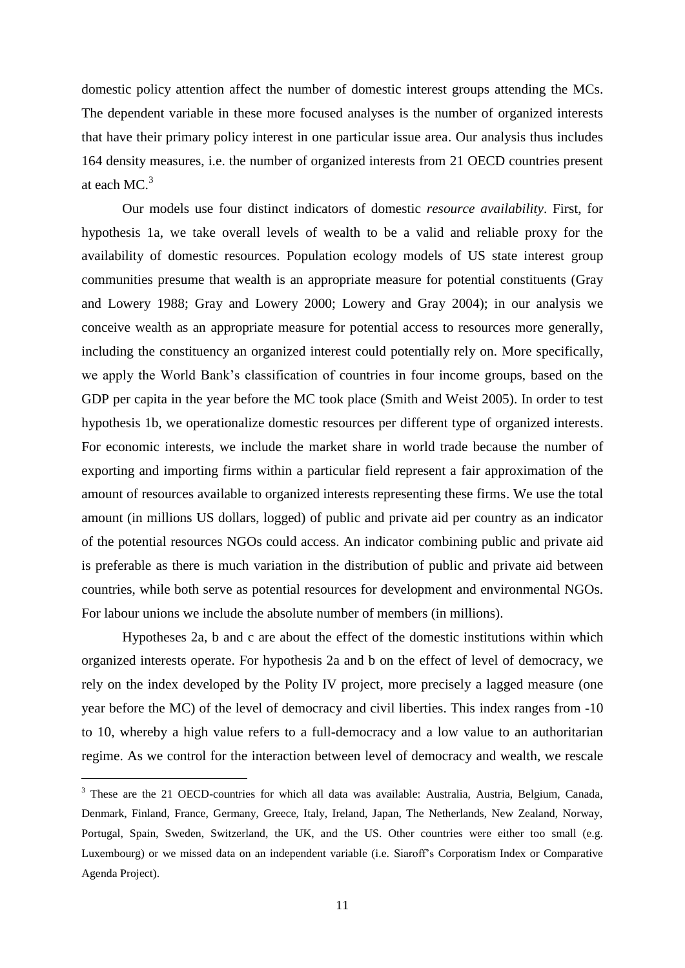domestic policy attention affect the number of domestic interest groups attending the MCs. The dependent variable in these more focused analyses is the number of organized interests that have their primary policy interest in one particular issue area. Our analysis thus includes 164 density measures, i.e. the number of organized interests from 21 OECD countries present at each MC.<sup>3</sup>

Our models use four distinct indicators of domestic *resource availability*. First, for hypothesis 1a, we take overall levels of wealth to be a valid and reliable proxy for the availability of domestic resources. Population ecology models of US state interest group communities presume that wealth is an appropriate measure for potential constituents (Gray and Lowery 1988; Gray and Lowery 2000; Lowery and Gray 2004); in our analysis we conceive wealth as an appropriate measure for potential access to resources more generally, including the constituency an organized interest could potentially rely on. More specifically, we apply the World Bank's classification of countries in four income groups, based on the GDP per capita in the year before the MC took place (Smith and Weist 2005). In order to test hypothesis 1b, we operationalize domestic resources per different type of organized interests. For economic interests, we include the market share in world trade because the number of exporting and importing firms within a particular field represent a fair approximation of the amount of resources available to organized interests representing these firms. We use the total amount (in millions US dollars, logged) of public and private aid per country as an indicator of the potential resources NGOs could access. An indicator combining public and private aid is preferable as there is much variation in the distribution of public and private aid between countries, while both serve as potential resources for development and environmental NGOs. For labour unions we include the absolute number of members (in millions).

Hypotheses 2a, b and c are about the effect of the domestic institutions within which organized interests operate. For hypothesis 2a and b on the effect of level of democracy, we rely on the index developed by the Polity IV project, more precisely a lagged measure (one year before the MC) of the level of democracy and civil liberties. This index ranges from -10 to 10, whereby a high value refers to a full-democracy and a low value to an authoritarian regime. As we control for the interaction between level of democracy and wealth, we rescale

<sup>&</sup>lt;sup>3</sup> These are the 21 OECD-countries for which all data was available: Australia, Austria, Belgium, Canada, Denmark, Finland, France, Germany, Greece, Italy, Ireland, Japan, The Netherlands, New Zealand, Norway, Portugal, Spain, Sweden, Switzerland, the UK, and the US. Other countries were either too small (e.g. Luxembourg) or we missed data on an independent variable (i.e. Siaroff's Corporatism Index or Comparative Agenda Project).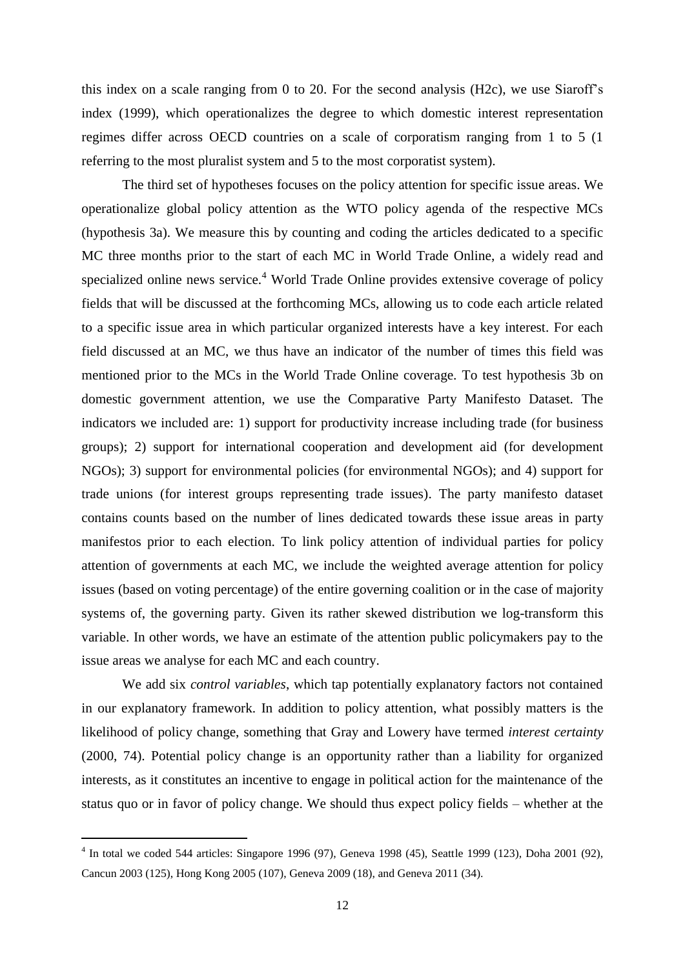this index on a scale ranging from 0 to 20. For the second analysis (H2c), we use Siaroff's index (1999), which operationalizes the degree to which domestic interest representation regimes differ across OECD countries on a scale of corporatism ranging from 1 to 5 (1 referring to the most pluralist system and 5 to the most corporatist system).

The third set of hypotheses focuses on the policy attention for specific issue areas. We operationalize global policy attention as the WTO policy agenda of the respective MCs (hypothesis 3a). We measure this by counting and coding the articles dedicated to a specific MC three months prior to the start of each MC in World Trade Online, a widely read and specialized online news service.<sup>4</sup> World Trade Online provides extensive coverage of policy fields that will be discussed at the forthcoming MCs, allowing us to code each article related to a specific issue area in which particular organized interests have a key interest. For each field discussed at an MC, we thus have an indicator of the number of times this field was mentioned prior to the MCs in the World Trade Online coverage. To test hypothesis 3b on domestic government attention, we use the Comparative Party Manifesto Dataset*.* The indicators we included are: 1) support for productivity increase including trade (for business groups); 2) support for international cooperation and development aid (for development NGOs); 3) support for environmental policies (for environmental NGOs); and 4) support for trade unions (for interest groups representing trade issues). The party manifesto dataset contains counts based on the number of lines dedicated towards these issue areas in party manifestos prior to each election. To link policy attention of individual parties for policy attention of governments at each MC, we include the weighted average attention for policy issues (based on voting percentage) of the entire governing coalition or in the case of majority systems of, the governing party. Given its rather skewed distribution we log-transform this variable. In other words, we have an estimate of the attention public policymakers pay to the issue areas we analyse for each MC and each country.

We add six *control variables*, which tap potentially explanatory factors not contained in our explanatory framework. In addition to policy attention, what possibly matters is the likelihood of policy change, something that Gray and Lowery have termed *interest certainty*  (2000, 74). Potential policy change is an opportunity rather than a liability for organized interests, as it constitutes an incentive to engage in political action for the maintenance of the status quo or in favor of policy change. We should thus expect policy fields – whether at the

<sup>&</sup>lt;sup>4</sup> In total we coded 544 articles: Singapore 1996 (97), Geneva 1998 (45), Seattle 1999 (123), Doha 2001 (92), Cancun 2003 (125), Hong Kong 2005 (107), Geneva 2009 (18), and Geneva 2011 (34).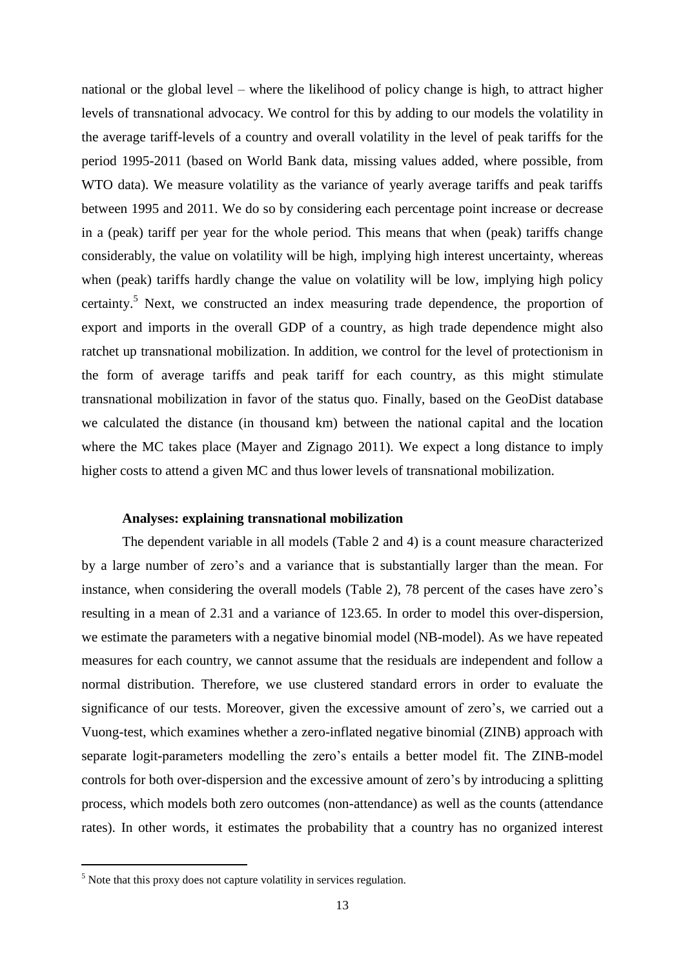national or the global level – where the likelihood of policy change is high, to attract higher levels of transnational advocacy. We control for this by adding to our models the volatility in the average tariff-levels of a country and overall volatility in the level of peak tariffs for the period 1995-2011 (based on World Bank data, missing values added, where possible, from WTO data). We measure volatility as the variance of yearly average tariffs and peak tariffs between 1995 and 2011. We do so by considering each percentage point increase or decrease in a (peak) tariff per year for the whole period. This means that when (peak) tariffs change considerably, the value on volatility will be high, implying high interest uncertainty, whereas when (peak) tariffs hardly change the value on volatility will be low, implying high policy certainty.<sup>5</sup> Next, we constructed an index measuring trade dependence, the proportion of export and imports in the overall GDP of a country, as high trade dependence might also ratchet up transnational mobilization. In addition, we control for the level of protectionism in the form of average tariffs and peak tariff for each country, as this might stimulate transnational mobilization in favor of the status quo. Finally, based on the GeoDist database we calculated the distance (in thousand km) between the national capital and the location where the MC takes place (Mayer and Zignago 2011). We expect a long distance to imply higher costs to attend a given MC and thus lower levels of transnational mobilization.

# **Analyses: explaining transnational mobilization**

The dependent variable in all models (Table 2 and 4) is a count measure characterized by a large number of zero's and a variance that is substantially larger than the mean. For instance, when considering the overall models (Table 2), 78 percent of the cases have zero's resulting in a mean of 2.31 and a variance of 123.65. In order to model this over-dispersion, we estimate the parameters with a negative binomial model (NB-model). As we have repeated measures for each country, we cannot assume that the residuals are independent and follow a normal distribution. Therefore, we use clustered standard errors in order to evaluate the significance of our tests. Moreover, given the excessive amount of zero's, we carried out a Vuong-test, which examines whether a zero-inflated negative binomial (ZINB) approach with separate logit-parameters modelling the zero's entails a better model fit. The ZINB-model controls for both over-dispersion and the excessive amount of zero's by introducing a splitting process, which models both zero outcomes (non-attendance) as well as the counts (attendance rates). In other words, it estimates the probability that a country has no organized interest

 $\overline{a}$ 

 $<sup>5</sup>$  Note that this proxy does not capture volatility in services regulation.</sup>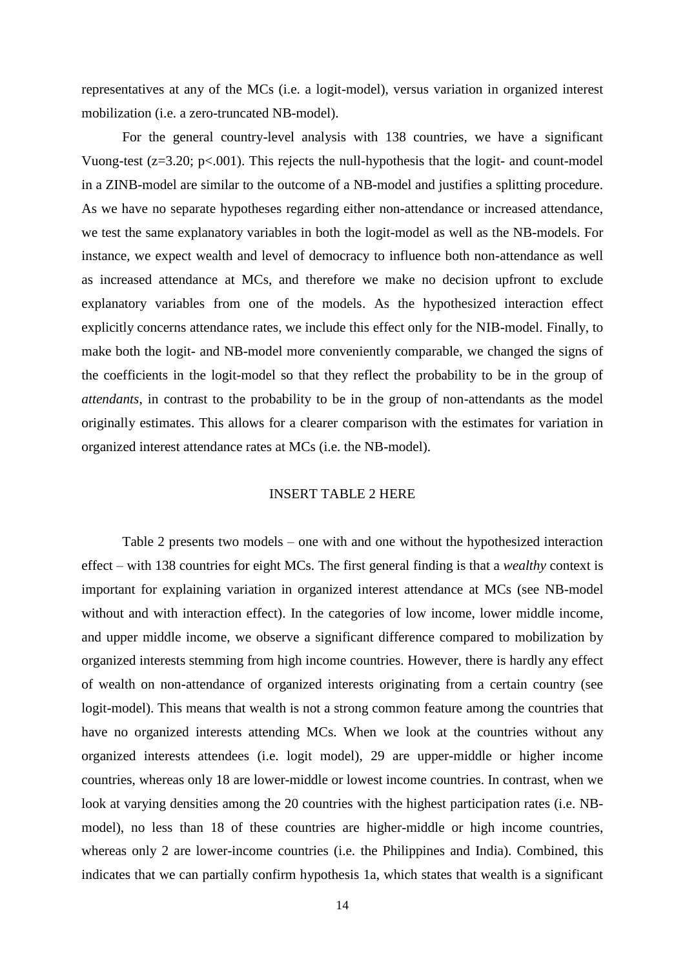representatives at any of the MCs (i.e. a logit-model), versus variation in organized interest mobilization (i.e. a zero-truncated NB-model).

For the general country-level analysis with 138 countries, we have a significant Vuong-test ( $z=3.20$ ;  $p<.001$ ). This rejects the null-hypothesis that the logit- and count-model in a ZINB-model are similar to the outcome of a NB-model and justifies a splitting procedure. As we have no separate hypotheses regarding either non-attendance or increased attendance, we test the same explanatory variables in both the logit-model as well as the NB-models. For instance, we expect wealth and level of democracy to influence both non-attendance as well as increased attendance at MCs, and therefore we make no decision upfront to exclude explanatory variables from one of the models. As the hypothesized interaction effect explicitly concerns attendance rates, we include this effect only for the NIB-model. Finally, to make both the logit- and NB-model more conveniently comparable, we changed the signs of the coefficients in the logit-model so that they reflect the probability to be in the group of *attendants*, in contrast to the probability to be in the group of non-attendants as the model originally estimates. This allows for a clearer comparison with the estimates for variation in organized interest attendance rates at MCs (i.e. the NB-model).

# INSERT TABLE 2 HERE

Table 2 presents two models – one with and one without the hypothesized interaction effect – with 138 countries for eight MCs. The first general finding is that a *wealthy* context is important for explaining variation in organized interest attendance at MCs (see NB-model without and with interaction effect). In the categories of low income, lower middle income, and upper middle income, we observe a significant difference compared to mobilization by organized interests stemming from high income countries. However, there is hardly any effect of wealth on non-attendance of organized interests originating from a certain country (see logit-model). This means that wealth is not a strong common feature among the countries that have no organized interests attending MCs. When we look at the countries without any organized interests attendees (i.e. logit model), 29 are upper-middle or higher income countries, whereas only 18 are lower-middle or lowest income countries. In contrast, when we look at varying densities among the 20 countries with the highest participation rates (i.e. NBmodel), no less than 18 of these countries are higher-middle or high income countries, whereas only 2 are lower-income countries (i.e. the Philippines and India). Combined, this indicates that we can partially confirm hypothesis 1a, which states that wealth is a significant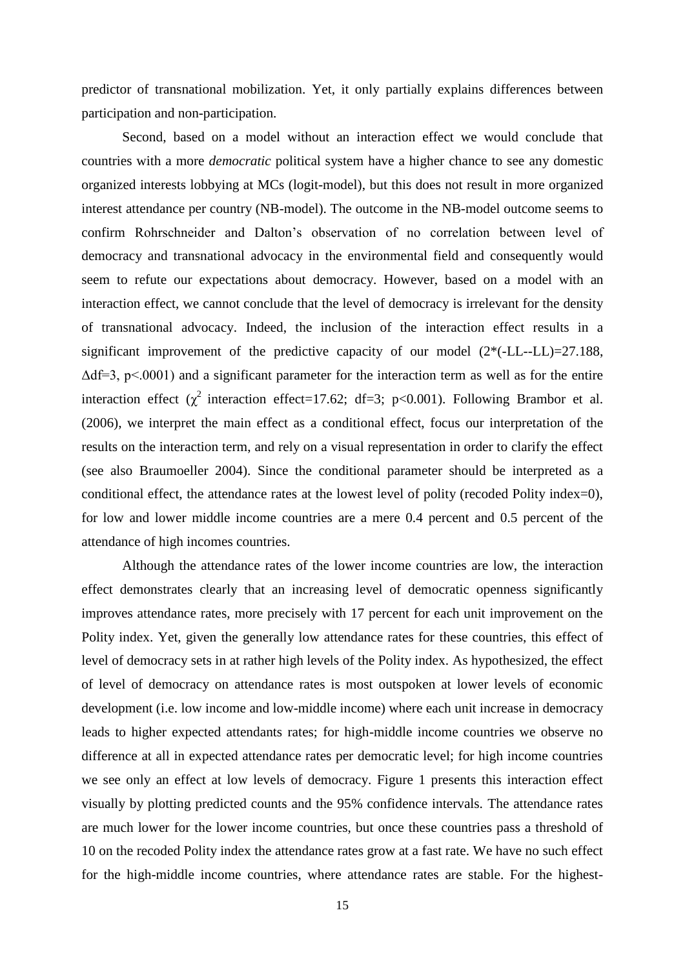predictor of transnational mobilization. Yet, it only partially explains differences between participation and non-participation.

Second, based on a model without an interaction effect we would conclude that countries with a more *democratic* political system have a higher chance to see any domestic organized interests lobbying at MCs (logit-model), but this does not result in more organized interest attendance per country (NB-model). The outcome in the NB-model outcome seems to confirm Rohrschneider and Dalton's observation of no correlation between level of democracy and transnational advocacy in the environmental field and consequently would seem to refute our expectations about democracy. However, based on a model with an interaction effect, we cannot conclude that the level of democracy is irrelevant for the density of transnational advocacy. Indeed, the inclusion of the interaction effect results in a significant improvement of the predictive capacity of our model  $(2*(-LL-LL)=27.188$ ,  $\Delta df = 3$ , p<.0001) and a significant parameter for the interaction term as well as for the entire interaction effect ( $\chi^2$  interaction effect=17.62; df=3; p<0.001). Following Brambor et al. (2006), we interpret the main effect as a conditional effect, focus our interpretation of the results on the interaction term, and rely on a visual representation in order to clarify the effect (see also Braumoeller 2004). Since the conditional parameter should be interpreted as a conditional effect, the attendance rates at the lowest level of polity (recoded Polity index=0), for low and lower middle income countries are a mere 0.4 percent and 0.5 percent of the attendance of high incomes countries.

Although the attendance rates of the lower income countries are low, the interaction effect demonstrates clearly that an increasing level of democratic openness significantly improves attendance rates, more precisely with 17 percent for each unit improvement on the Polity index. Yet, given the generally low attendance rates for these countries, this effect of level of democracy sets in at rather high levels of the Polity index. As hypothesized, the effect of level of democracy on attendance rates is most outspoken at lower levels of economic development (i.e. low income and low-middle income) where each unit increase in democracy leads to higher expected attendants rates; for high-middle income countries we observe no difference at all in expected attendance rates per democratic level; for high income countries we see only an effect at low levels of democracy. Figure 1 presents this interaction effect visually by plotting predicted counts and the 95% confidence intervals. The attendance rates are much lower for the lower income countries, but once these countries pass a threshold of 10 on the recoded Polity index the attendance rates grow at a fast rate. We have no such effect for the high-middle income countries, where attendance rates are stable. For the highest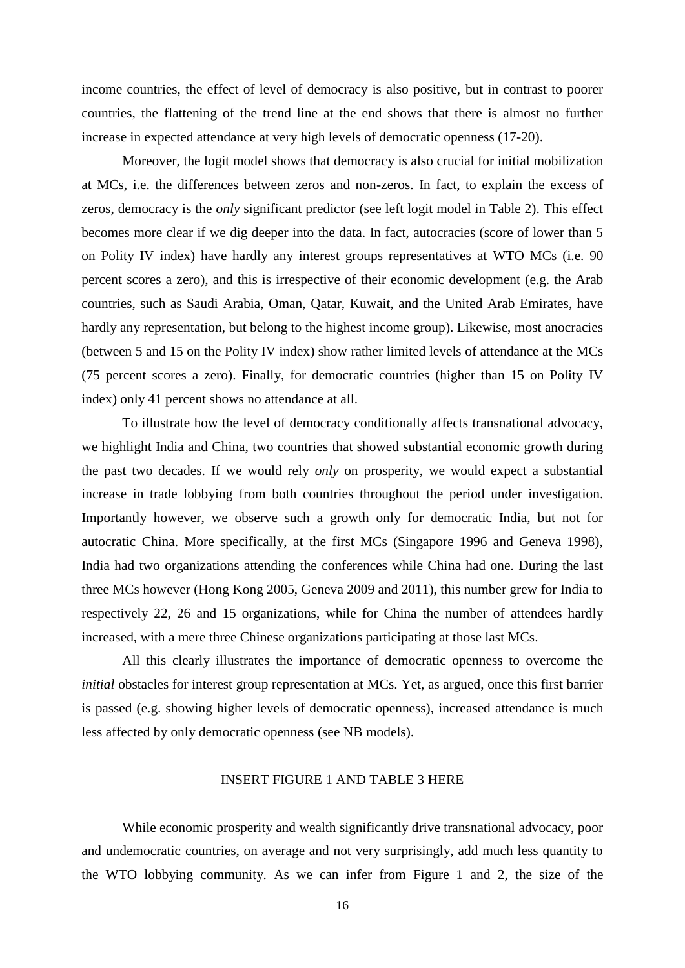income countries, the effect of level of democracy is also positive, but in contrast to poorer countries, the flattening of the trend line at the end shows that there is almost no further increase in expected attendance at very high levels of democratic openness (17-20).

Moreover, the logit model shows that democracy is also crucial for initial mobilization at MCs, i.e. the differences between zeros and non-zeros. In fact, to explain the excess of zeros, democracy is the *only* significant predictor (see left logit model in Table 2). This effect becomes more clear if we dig deeper into the data. In fact, autocracies (score of lower than 5 on Polity IV index) have hardly any interest groups representatives at WTO MCs (i.e. 90 percent scores a zero), and this is irrespective of their economic development (e.g. the Arab countries, such as Saudi Arabia, Oman, Qatar, Kuwait, and the United Arab Emirates, have hardly any representation, but belong to the highest income group). Likewise, most anocracies (between 5 and 15 on the Polity IV index) show rather limited levels of attendance at the MCs (75 percent scores a zero). Finally, for democratic countries (higher than 15 on Polity IV index) only 41 percent shows no attendance at all.

To illustrate how the level of democracy conditionally affects transnational advocacy, we highlight India and China, two countries that showed substantial economic growth during the past two decades. If we would rely *only* on prosperity, we would expect a substantial increase in trade lobbying from both countries throughout the period under investigation. Importantly however, we observe such a growth only for democratic India, but not for autocratic China. More specifically, at the first MCs (Singapore 1996 and Geneva 1998), India had two organizations attending the conferences while China had one. During the last three MCs however (Hong Kong 2005, Geneva 2009 and 2011), this number grew for India to respectively 22, 26 and 15 organizations, while for China the number of attendees hardly increased, with a mere three Chinese organizations participating at those last MCs.

All this clearly illustrates the importance of democratic openness to overcome the *initial* obstacles for interest group representation at MCs. Yet, as argued, once this first barrier is passed (e.g. showing higher levels of democratic openness), increased attendance is much less affected by only democratic openness (see NB models).

# INSERT FIGURE 1 AND TABLE 3 HERE

While economic prosperity and wealth significantly drive transnational advocacy, poor and undemocratic countries, on average and not very surprisingly, add much less quantity to the WTO lobbying community. As we can infer from Figure 1 and 2, the size of the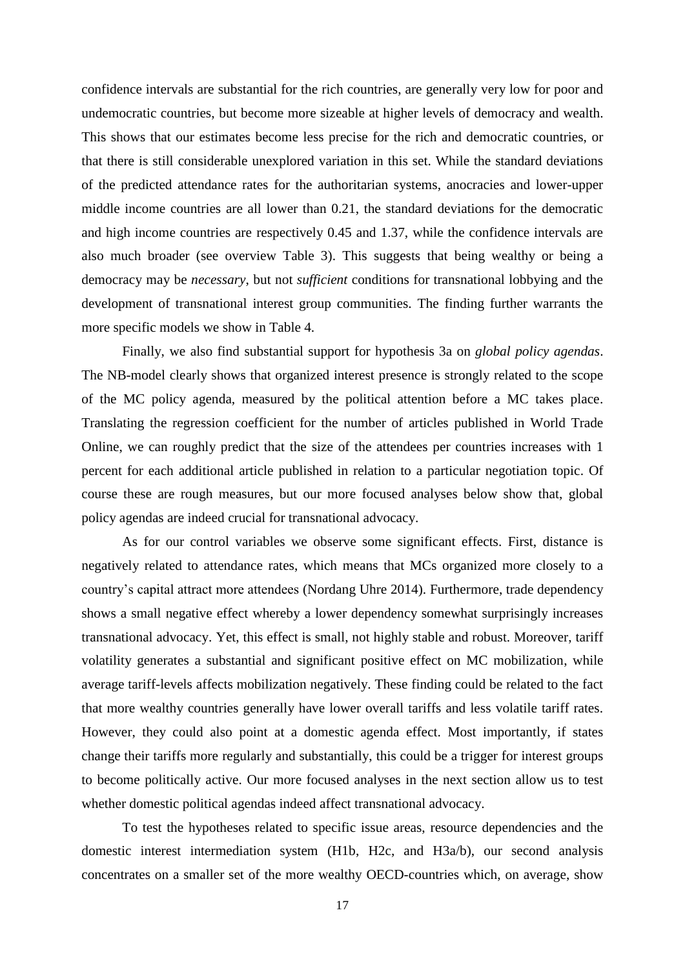confidence intervals are substantial for the rich countries, are generally very low for poor and undemocratic countries, but become more sizeable at higher levels of democracy and wealth. This shows that our estimates become less precise for the rich and democratic countries, or that there is still considerable unexplored variation in this set. While the standard deviations of the predicted attendance rates for the authoritarian systems, anocracies and lower-upper middle income countries are all lower than 0.21, the standard deviations for the democratic and high income countries are respectively 0.45 and 1.37, while the confidence intervals are also much broader (see overview Table 3). This suggests that being wealthy or being a democracy may be *necessary*, but not *sufficient* conditions for transnational lobbying and the development of transnational interest group communities. The finding further warrants the more specific models we show in Table 4.

Finally, we also find substantial support for hypothesis 3a on *global policy agendas*. The NB-model clearly shows that organized interest presence is strongly related to the scope of the MC policy agenda, measured by the political attention before a MC takes place. Translating the regression coefficient for the number of articles published in World Trade Online, we can roughly predict that the size of the attendees per countries increases with 1 percent for each additional article published in relation to a particular negotiation topic. Of course these are rough measures, but our more focused analyses below show that, global policy agendas are indeed crucial for transnational advocacy.

As for our control variables we observe some significant effects. First, distance is negatively related to attendance rates, which means that MCs organized more closely to a country's capital attract more attendees (Nordang Uhre 2014). Furthermore, trade dependency shows a small negative effect whereby a lower dependency somewhat surprisingly increases transnational advocacy. Yet, this effect is small, not highly stable and robust. Moreover, tariff volatility generates a substantial and significant positive effect on MC mobilization, while average tariff-levels affects mobilization negatively. These finding could be related to the fact that more wealthy countries generally have lower overall tariffs and less volatile tariff rates. However, they could also point at a domestic agenda effect. Most importantly, if states change their tariffs more regularly and substantially, this could be a trigger for interest groups to become politically active. Our more focused analyses in the next section allow us to test whether domestic political agendas indeed affect transnational advocacy.

To test the hypotheses related to specific issue areas, resource dependencies and the domestic interest intermediation system (H1b, H2c, and H3a/b), our second analysis concentrates on a smaller set of the more wealthy OECD-countries which, on average, show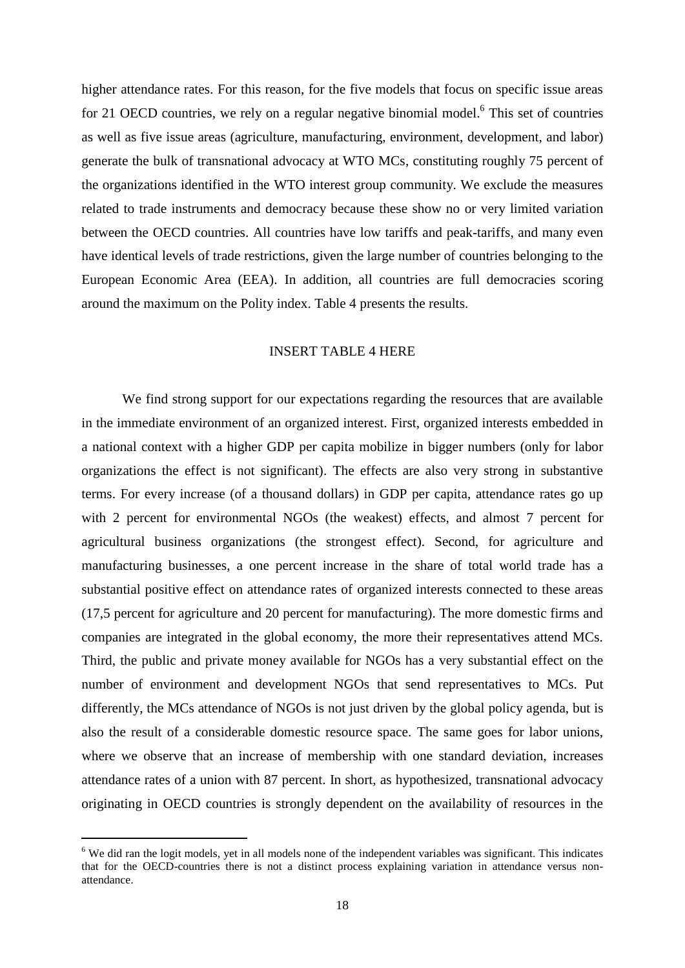higher attendance rates. For this reason, for the five models that focus on specific issue areas for 21 OECD countries, we rely on a regular negative binomial model.<sup>6</sup> This set of countries as well as five issue areas (agriculture, manufacturing, environment, development, and labor) generate the bulk of transnational advocacy at WTO MCs, constituting roughly 75 percent of the organizations identified in the WTO interest group community. We exclude the measures related to trade instruments and democracy because these show no or very limited variation between the OECD countries. All countries have low tariffs and peak-tariffs, and many even have identical levels of trade restrictions, given the large number of countries belonging to the European Economic Area (EEA). In addition, all countries are full democracies scoring around the maximum on the Polity index. Table 4 presents the results.

# INSERT TABLE 4 HERE

We find strong support for our expectations regarding the resources that are available in the immediate environment of an organized interest. First, organized interests embedded in a national context with a higher GDP per capita mobilize in bigger numbers (only for labor organizations the effect is not significant). The effects are also very strong in substantive terms. For every increase (of a thousand dollars) in GDP per capita, attendance rates go up with 2 percent for environmental NGOs (the weakest) effects, and almost 7 percent for agricultural business organizations (the strongest effect). Second, for agriculture and manufacturing businesses, a one percent increase in the share of total world trade has a substantial positive effect on attendance rates of organized interests connected to these areas (17,5 percent for agriculture and 20 percent for manufacturing). The more domestic firms and companies are integrated in the global economy, the more their representatives attend MCs. Third, the public and private money available for NGOs has a very substantial effect on the number of environment and development NGOs that send representatives to MCs. Put differently, the MCs attendance of NGOs is not just driven by the global policy agenda, but is also the result of a considerable domestic resource space. The same goes for labor unions, where we observe that an increase of membership with one standard deviation, increases attendance rates of a union with 87 percent. In short, as hypothesized, transnational advocacy originating in OECD countries is strongly dependent on the availability of resources in the

<sup>&</sup>lt;sup>6</sup> We did ran the logit models, yet in all models none of the independent variables was significant. This indicates that for the OECD-countries there is not a distinct process explaining variation in attendance versus nonattendance.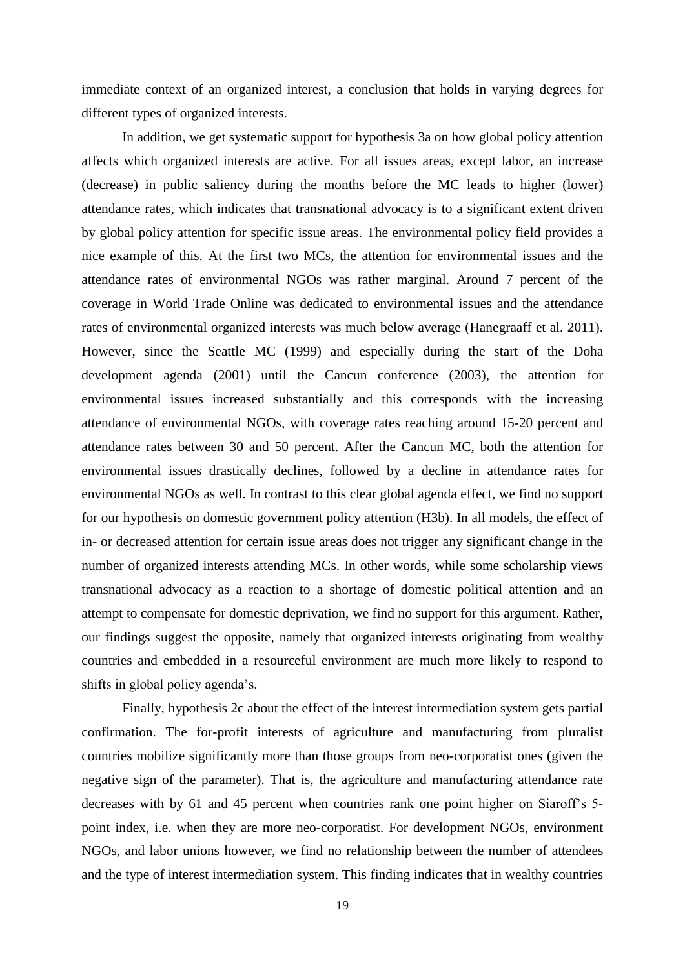immediate context of an organized interest, a conclusion that holds in varying degrees for different types of organized interests.

In addition, we get systematic support for hypothesis 3a on how global policy attention affects which organized interests are active. For all issues areas, except labor, an increase (decrease) in public saliency during the months before the MC leads to higher (lower) attendance rates, which indicates that transnational advocacy is to a significant extent driven by global policy attention for specific issue areas. The environmental policy field provides a nice example of this. At the first two MCs, the attention for environmental issues and the attendance rates of environmental NGOs was rather marginal. Around 7 percent of the coverage in World Trade Online was dedicated to environmental issues and the attendance rates of environmental organized interests was much below average (Hanegraaff et al. 2011). However, since the Seattle MC (1999) and especially during the start of the Doha development agenda (2001) until the Cancun conference (2003), the attention for environmental issues increased substantially and this corresponds with the increasing attendance of environmental NGOs, with coverage rates reaching around 15-20 percent and attendance rates between 30 and 50 percent. After the Cancun MC, both the attention for environmental issues drastically declines, followed by a decline in attendance rates for environmental NGOs as well. In contrast to this clear global agenda effect, we find no support for our hypothesis on domestic government policy attention (H3b). In all models, the effect of in- or decreased attention for certain issue areas does not trigger any significant change in the number of organized interests attending MCs. In other words, while some scholarship views transnational advocacy as a reaction to a shortage of domestic political attention and an attempt to compensate for domestic deprivation, we find no support for this argument. Rather, our findings suggest the opposite, namely that organized interests originating from wealthy countries and embedded in a resourceful environment are much more likely to respond to shifts in global policy agenda's.

Finally, hypothesis 2c about the effect of the interest intermediation system gets partial confirmation. The for-profit interests of agriculture and manufacturing from pluralist countries mobilize significantly more than those groups from neo-corporatist ones (given the negative sign of the parameter). That is, the agriculture and manufacturing attendance rate decreases with by 61 and 45 percent when countries rank one point higher on Siaroff's 5 point index, i.e. when they are more neo-corporatist. For development NGOs, environment NGOs, and labor unions however, we find no relationship between the number of attendees and the type of interest intermediation system. This finding indicates that in wealthy countries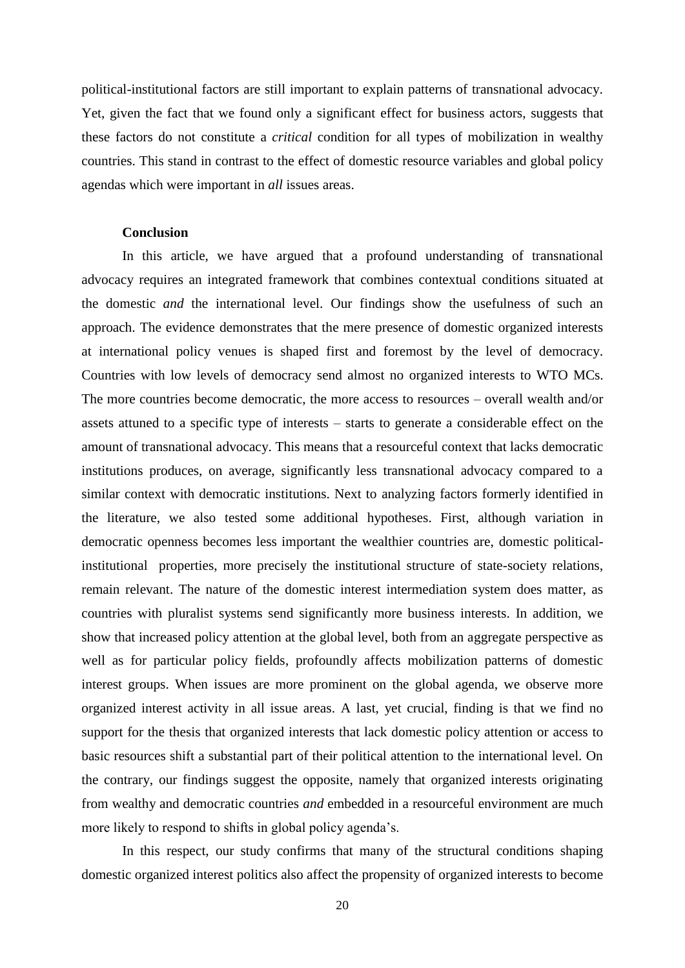political-institutional factors are still important to explain patterns of transnational advocacy. Yet, given the fact that we found only a significant effect for business actors, suggests that these factors do not constitute a *critical* condition for all types of mobilization in wealthy countries. This stand in contrast to the effect of domestic resource variables and global policy agendas which were important in *all* issues areas.

#### **Conclusion**

In this article, we have argued that a profound understanding of transnational advocacy requires an integrated framework that combines contextual conditions situated at the domestic *and* the international level. Our findings show the usefulness of such an approach. The evidence demonstrates that the mere presence of domestic organized interests at international policy venues is shaped first and foremost by the level of democracy. Countries with low levels of democracy send almost no organized interests to WTO MCs. The more countries become democratic, the more access to resources – overall wealth and/or assets attuned to a specific type of interests – starts to generate a considerable effect on the amount of transnational advocacy. This means that a resourceful context that lacks democratic institutions produces, on average, significantly less transnational advocacy compared to a similar context with democratic institutions. Next to analyzing factors formerly identified in the literature, we also tested some additional hypotheses. First, although variation in democratic openness becomes less important the wealthier countries are, domestic politicalinstitutional properties, more precisely the institutional structure of state-society relations, remain relevant. The nature of the domestic interest intermediation system does matter, as countries with pluralist systems send significantly more business interests. In addition, we show that increased policy attention at the global level, both from an aggregate perspective as well as for particular policy fields, profoundly affects mobilization patterns of domestic interest groups. When issues are more prominent on the global agenda, we observe more organized interest activity in all issue areas. A last, yet crucial, finding is that we find no support for the thesis that organized interests that lack domestic policy attention or access to basic resources shift a substantial part of their political attention to the international level. On the contrary, our findings suggest the opposite, namely that organized interests originating from wealthy and democratic countries *and* embedded in a resourceful environment are much more likely to respond to shifts in global policy agenda's.

In this respect, our study confirms that many of the structural conditions shaping domestic organized interest politics also affect the propensity of organized interests to become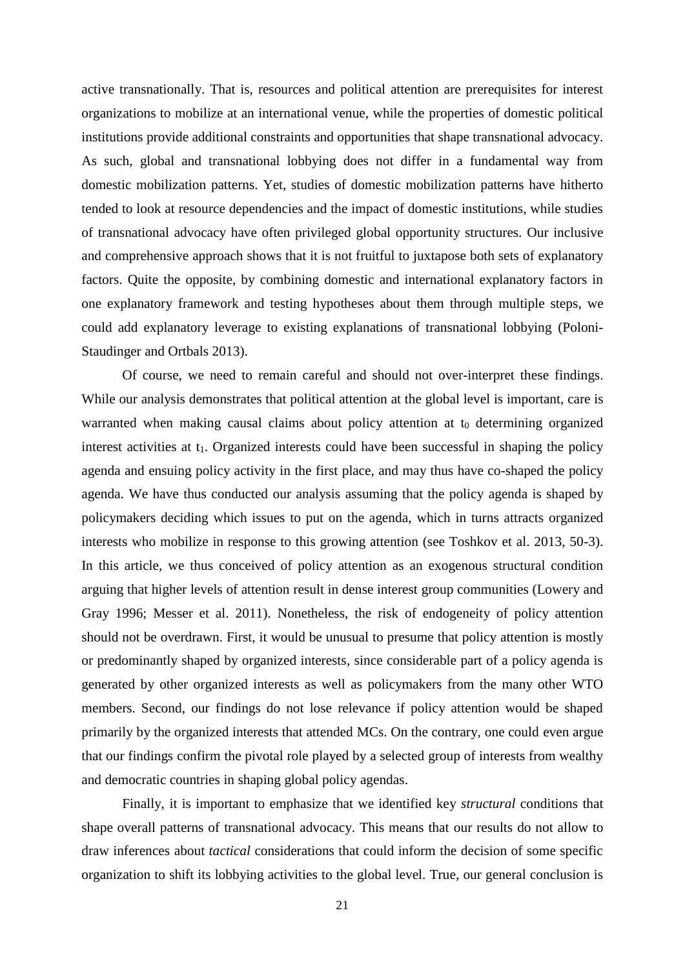active transnationally. That is, resources and political attention are prerequisites for interest organizations to mobilize at an international venue, while the properties of domestic political institutions provide additional constraints and opportunities that shape transnational advocacy. As such, global and transnational lobbying does not differ in a fundamental way from domestic mobilization patterns. Yet, studies of domestic mobilization patterns have hitherto tended to look at resource dependencies and the impact of domestic institutions, while studies of transnational advocacy have often privileged global opportunity structures. Our inclusive and comprehensive approach shows that it is not fruitful to juxtapose both sets of explanatory factors. Quite the opposite, by combining domestic and international explanatory factors in one explanatory framework and testing hypotheses about them through multiple steps, we could add explanatory leverage to existing explanations of transnational lobbying (Poloni-Staudinger and Ortbals 2013).

Of course, we need to remain careful and should not over-interpret these findings. While our analysis demonstrates that political attention at the global level is important, care is warranted when making causal claims about policy attention at  $t_0$  determining organized interest activities at  $t_1$ . Organized interests could have been successful in shaping the policy agenda and ensuing policy activity in the first place, and may thus have co-shaped the policy agenda. We have thus conducted our analysis assuming that the policy agenda is shaped by policymakers deciding which issues to put on the agenda, which in turns attracts organized interests who mobilize in response to this growing attention (see Toshkov et al. 2013, 50-3). In this article, we thus conceived of policy attention as an exogenous structural condition arguing that higher levels of attention result in dense interest group communities (Lowery and Gray 1996; Messer et al. 2011). Nonetheless, the risk of endogeneity of policy attention should not be overdrawn. First, it would be unusual to presume that policy attention is mostly or predominantly shaped by organized interests, since considerable part of a policy agenda is generated by other organized interests as well as policymakers from the many other WTO members. Second, our findings do not lose relevance if policy attention would be shaped primarily by the organized interests that attended MCs. On the contrary, one could even argue that our findings confirm the pivotal role played by a selected group of interests from wealthy and democratic countries in shaping global policy agendas.

Finally, it is important to emphasize that we identified key *structural* conditions that shape overall patterns of transnational advocacy. This means that our results do not allow to draw inferences about *tactical* considerations that could inform the decision of some specific organization to shift its lobbying activities to the global level. True, our general conclusion is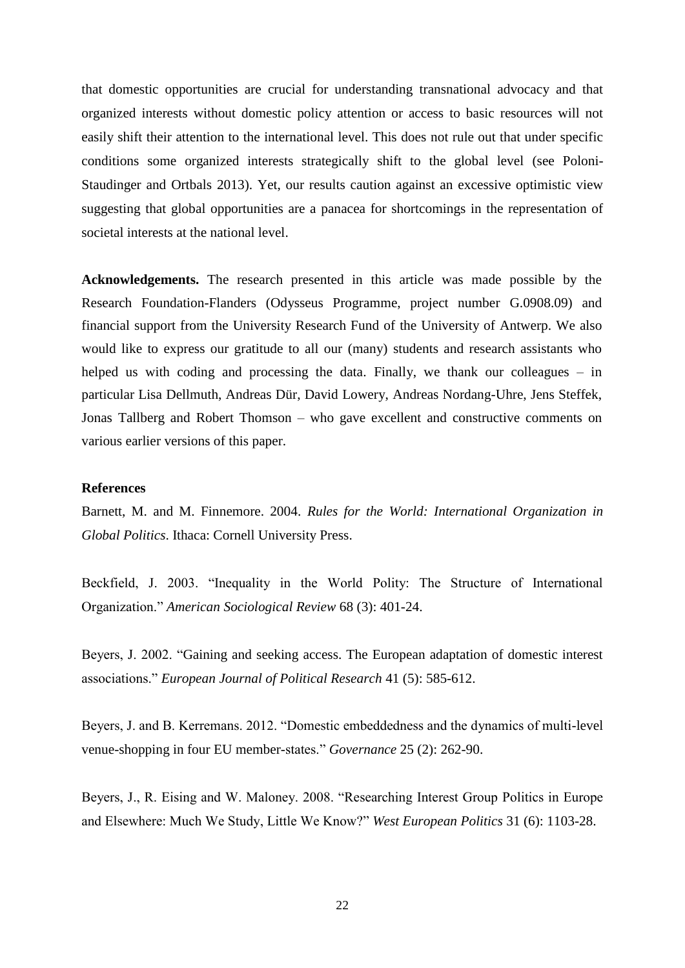that domestic opportunities are crucial for understanding transnational advocacy and that organized interests without domestic policy attention or access to basic resources will not easily shift their attention to the international level. This does not rule out that under specific conditions some organized interests strategically shift to the global level (see Poloni-Staudinger and Ortbals 2013). Yet, our results caution against an excessive optimistic view suggesting that global opportunities are a panacea for shortcomings in the representation of societal interests at the national level.

**Acknowledgements.** The research presented in this article was made possible by the Research Foundation-Flanders (Odysseus Programme, project number G.0908.09) and financial support from the University Research Fund of the University of Antwerp. We also would like to express our gratitude to all our (many) students and research assistants who helped us with coding and processing the data. Finally, we thank our colleagues – in particular Lisa Dellmuth, Andreas Dür, David Lowery, Andreas Nordang-Uhre, Jens Steffek, Jonas Tallberg and Robert Thomson – who gave excellent and constructive comments on various earlier versions of this paper.

#### **References**

Barnett, M. and M. Finnemore. 2004. *Rules for the World: International Organization in Global Politics*. Ithaca: Cornell University Press.

Beckfield, J. 2003. "Inequality in the World Polity: The Structure of International Organization." *American Sociological Review* 68 (3): 401-24.

Beyers, J. 2002. "Gaining and seeking access. The European adaptation of domestic interest associations." *European Journal of Political Research* 41 (5): 585-612.

Beyers, J. and B. Kerremans. 2012. "Domestic embeddedness and the dynamics of multi-level venue-shopping in four EU member-states." *Governance* 25 (2): 262-90.

Beyers, J., R. Eising and W. Maloney. 2008. "Researching Interest Group Politics in Europe and Elsewhere: Much We Study, Little We Know?" *West European Politics* 31 (6): 1103-28.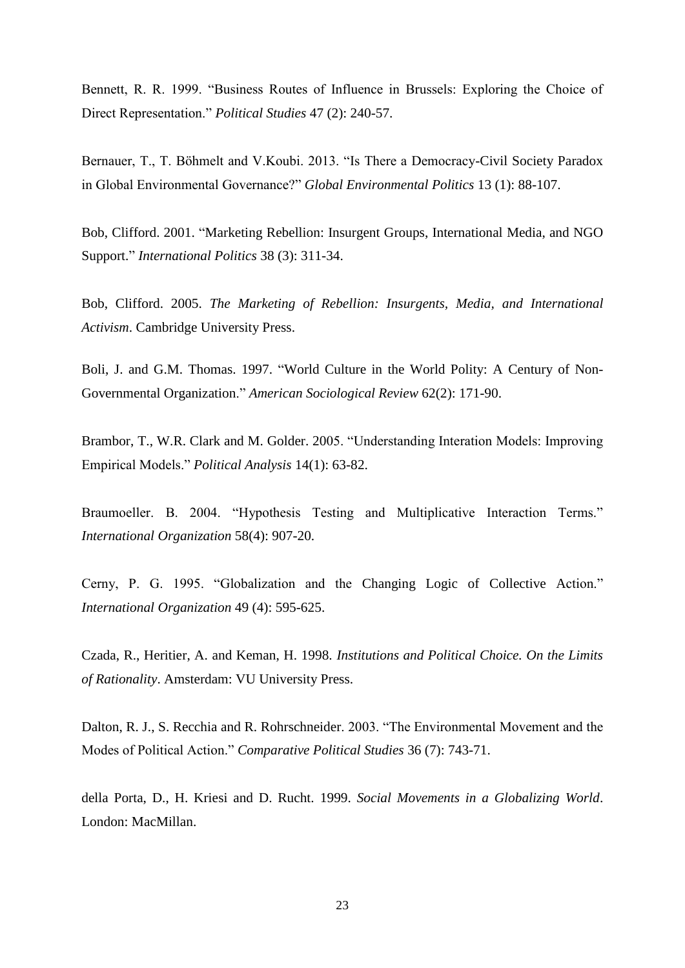Bennett, R. R. 1999. "Business Routes of Influence in Brussels: Exploring the Choice of Direct Representation." *Political Studies* 47 (2): 240-57.

Bernauer, T., T. Böhmelt and V.Koubi. 2013. "Is There a Democracy-Civil Society Paradox in Global Environmental Governance?" *Global Environmental Politics* 13 (1): 88-107.

Bob, Clifford. 2001. "Marketing Rebellion: Insurgent Groups, International Media, and NGO Support." *International Politics* 38 (3): 311-34.

Bob, Clifford. 2005. *The Marketing of Rebellion: Insurgents, Media, and International Activism*. Cambridge University Press.

Boli, J. and G.M. Thomas. 1997. "World Culture in the World Polity: A Century of Non-Governmental Organization." *American Sociological Review* 62(2): 171-90.

Brambor, T., W.R. Clark and M. Golder. 2005. "Understanding Interation Models: Improving Empirical Models." *Political Analysis* 14(1): 63-82.

Braumoeller. B. 2004. "Hypothesis Testing and Multiplicative Interaction Terms." *International Organization* 58(4): 907-20.

Cerny, P. G. 1995. "Globalization and the Changing Logic of Collective Action." *International Organization* 49 (4): 595-625.

Czada, R., Heritier, A. and Keman, H. 1998. *Institutions and Political Choice. On the Limits of Rationality*. Amsterdam: VU University Press.

Dalton, R. J., S. Recchia and R. Rohrschneider. 2003. "The Environmental Movement and the Modes of Political Action." *Comparative Political Studies* 36 (7): 743-71.

della Porta, D., H. Kriesi and D. Rucht. 1999. *Social Movements in a Globalizing World*. London: MacMillan.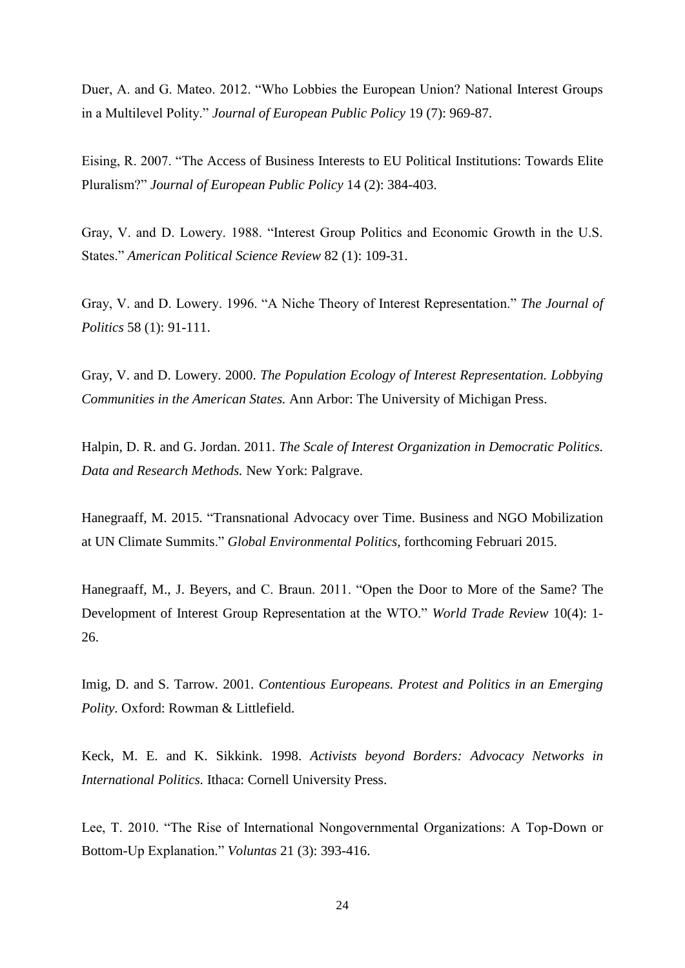Duer, A. and G. Mateo. 2012. "Who Lobbies the European Union? National Interest Groups in a Multilevel Polity." *Journal of European Public Policy* 19 (7): 969-87.

Eising, R. 2007. "The Access of Business Interests to EU Political Institutions: Towards Elite Pluralism?" *Journal of European Public Policy* 14 (2): 384-403.

Gray, V. and D. Lowery. 1988. "Interest Group Politics and Economic Growth in the U.S. States." *American Political Science Review* 82 (1): 109-31.

Gray, V. and D. Lowery. 1996. "A Niche Theory of Interest Representation." *The Journal of Politics* 58 (1): 91-111.

Gray, V. and D. Lowery. 2000. *The Population Ecology of Interest Representation. Lobbying Communities in the American States.* Ann Arbor: The University of Michigan Press.

Halpin, D. R. and G. Jordan. 2011. *The Scale of Interest Organization in Democratic Politics. Data and Research Methods.* New York: Palgrave.

Hanegraaff, M. 2015. "Transnational Advocacy over Time. Business and NGO Mobilization at UN Climate Summits." *Global Environmental Politics*, forthcoming Februari 2015.

Hanegraaff, M., J. Beyers, and C. Braun. 2011. "Open the Door to More of the Same? The Development of Interest Group Representation at the WTO." *World Trade Review* 10(4): 1- 26.

Imig, D. and S. Tarrow. 2001. *Contentious Europeans. Protest and Politics in an Emerging Polity*. Oxford: Rowman & Littlefield.

Keck, M. E. and K. Sikkink. 1998. *Activists beyond Borders: Advocacy Networks in International Politics.* Ithaca: Cornell University Press.

Lee, T. 2010. "The Rise of International Nongovernmental Organizations: A Top-Down or Bottom-Up Explanation." *Voluntas* 21 (3): 393-416.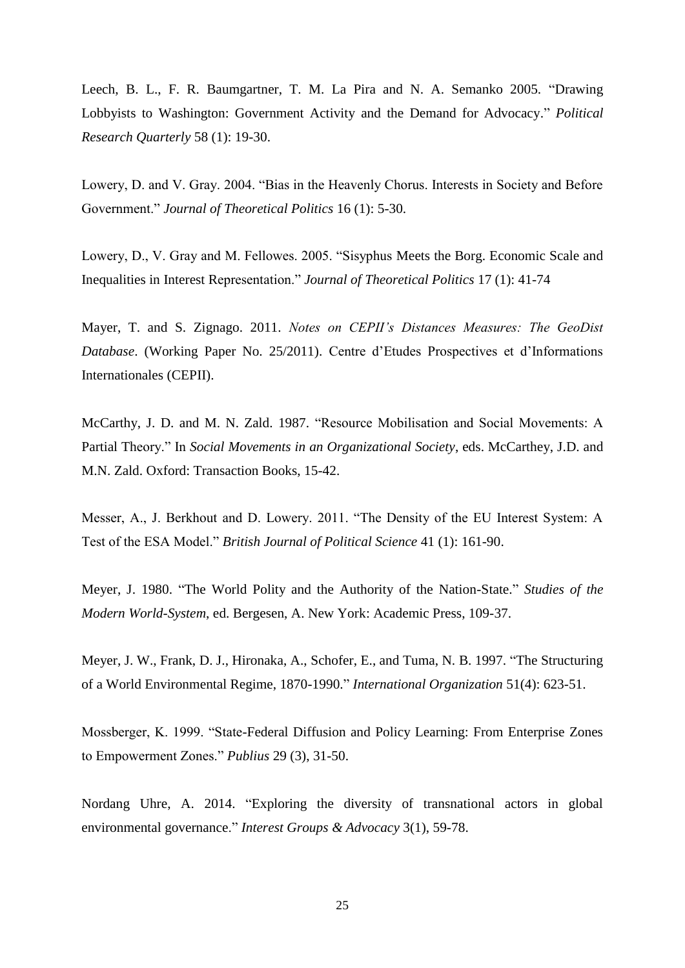Leech, B. L., F. R. Baumgartner, T. M. La Pira and N. A. Semanko 2005. "Drawing Lobbyists to Washington: Government Activity and the Demand for Advocacy." *Political Research Quarterly* 58 (1): 19-30.

Lowery, D. and V. Gray. 2004. "Bias in the Heavenly Chorus. Interests in Society and Before Government." *Journal of Theoretical Politics* 16 (1): 5-30.

Lowery, D., V. Gray and M. Fellowes. 2005. "Sisyphus Meets the Borg. Economic Scale and Inequalities in Interest Representation." *Journal of Theoretical Politics* 17 (1): 41-74

Mayer, T. and S. Zignago. 2011. *Notes on CEPII's Distances Measures: The GeoDist Database*. (Working Paper No. 25/2011). Centre d'Etudes Prospectives et d'Informations Internationales (CEPII).

McCarthy, J. D. and M. N. Zald. 1987. "Resource Mobilisation and Social Movements: A Partial Theory." In *Social Movements in an Organizational Society*, eds. McCarthey, J.D. and M.N. Zald. Oxford: Transaction Books, 15-42.

Messer, A., J. Berkhout and D. Lowery. 2011. "The Density of the EU Interest System: A Test of the ESA Model." *British Journal of Political Science* 41 (1): 161-90.

Meyer, J. 1980. "The World Polity and the Authority of the Nation-State." *Studies of the Modern World-System*, ed. Bergesen, A. New York: Academic Press, 109-37.

Meyer, J. W., Frank, D. J., Hironaka, A., Schofer, E., and Tuma, N. B. 1997. "The Structuring of a World Environmental Regime, 1870-1990." *International Organization* 51(4): 623-51.

Mossberger, K. 1999. "State-Federal Diffusion and Policy Learning: From Enterprise Zones to Empowerment Zones." *Publius* 29 (3), 31-50.

Nordang Uhre, A. 2014. "Exploring the diversity of transnational actors in global environmental governance." *Interest Groups & Advocacy* 3(1), 59-78.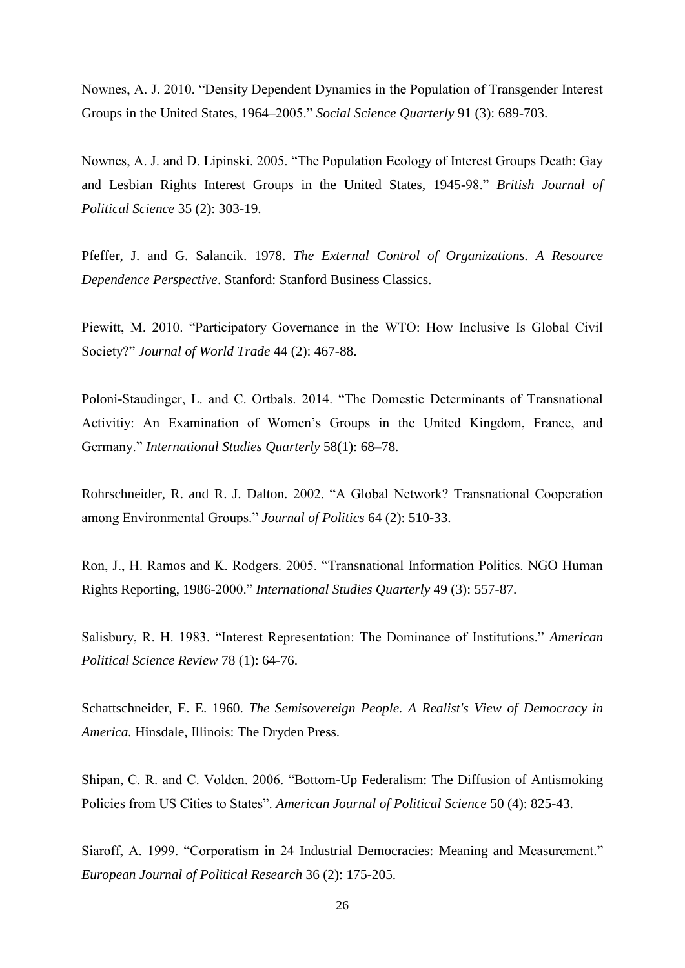Nownes, A. J. 2010. "Density Dependent Dynamics in the Population of Transgender Interest Groups in the United States, 1964–2005." *Social Science Quarterly* 91 (3): 689-703.

Nownes, A. J. and D. Lipinski. 2005. "The Population Ecology of Interest Groups Death: Gay and Lesbian Rights Interest Groups in the United States, 1945-98." *British Journal of Political Science* 35 (2): 303-19.

Pfeffer, J. and G. Salancik. 1978. *The External Control of Organizations. A Resource Dependence Perspective*. Stanford: Stanford Business Classics.

Piewitt, M. 2010. "Participatory Governance in the WTO: How Inclusive Is Global Civil Society?" *Journal of World Trade* 44 (2): 467-88.

Poloni-Staudinger, L. and C. Ortbals. 2014. "The Domestic Determinants of Transnational Activitiy: An Examination of Women's Groups in the United Kingdom, France, and Germany." *International Studies Quarterly* 58(1): 68–78.

Rohrschneider, R. and R. J. Dalton. 2002. "A Global Network? Transnational Cooperation among Environmental Groups." *Journal of Politics* 64 (2): 510-33.

Ron, J., H. Ramos and K. Rodgers. 2005. "Transnational Information Politics. NGO Human Rights Reporting, 1986-2000." *International Studies Quarterly* 49 (3): 557-87.

Salisbury, R. H. 1983. "Interest Representation: The Dominance of Institutions." *American Political Science Review* 78 (1): 64-76.

Schattschneider, E. E. 1960. *The Semisovereign People. A Realist's View of Democracy in America.* Hinsdale, Illinois: The Dryden Press.

Shipan, C. R. and C. Volden. 2006. "Bottom-Up Federalism: The Diffusion of Antismoking Policies from US Cities to States". *American Journal of Political Science* 50 (4): 825-43.

Siaroff, A. 1999. "Corporatism in 24 Industrial Democracies: Meaning and Measurement." *European Journal of Political Research* 36 (2): 175-205.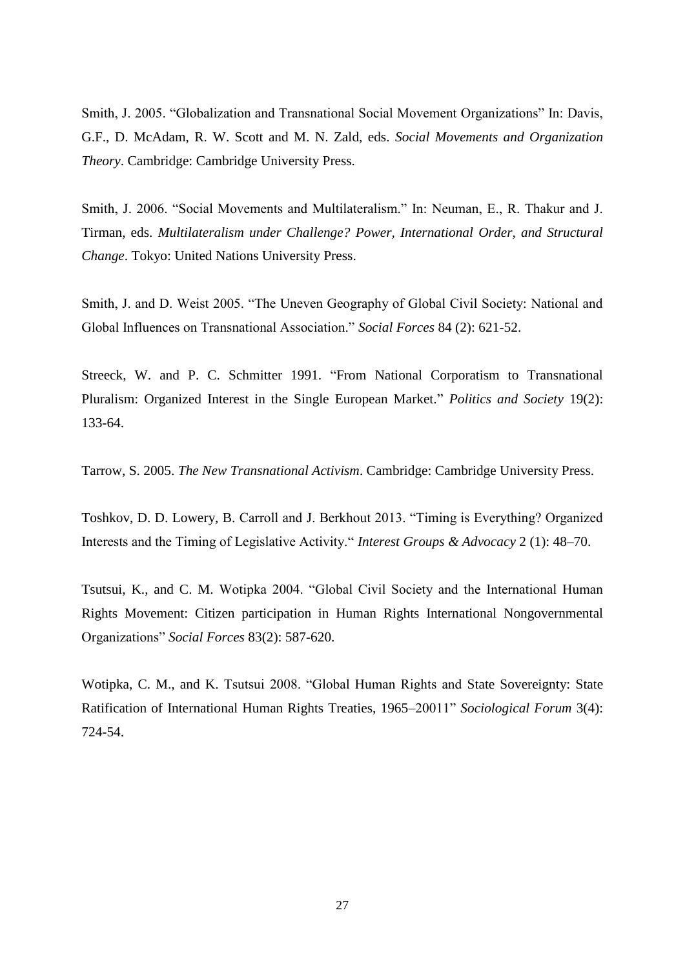Smith, J. 2005. "Globalization and Transnational Social Movement Organizations" In: Davis, G.F., D. McAdam, R. W. Scott and M. N. Zald, eds. *Social Movements and Organization Theory*. Cambridge: Cambridge University Press.

Smith, J. 2006. "Social Movements and Multilateralism." In: Neuman, E., R. Thakur and J. Tirman, eds. *Multilateralism under Challenge? Power, International Order, and Structural Change*. Tokyo: United Nations University Press.

Smith, J. and D. Weist 2005. "The Uneven Geography of Global Civil Society: National and Global Influences on Transnational Association." *Social Forces* 84 (2): 621-52.

Streeck, W. and P. C. Schmitter 1991. "From National Corporatism to Transnational Pluralism: Organized Interest in the Single European Market." *Politics and Society* 19(2): 133-64.

Tarrow, S. 2005. *The New Transnational Activism*. Cambridge: Cambridge University Press.

Toshkov, D. D. Lowery, B. Carroll and J. Berkhout 2013. "Timing is Everything? Organized Interests and the Timing of Legislative Activity." *Interest Groups & Advocacy* 2 (1): 48–70.

Tsutsui, K., and C. M. Wotipka 2004. "Global Civil Society and the International Human Rights Movement: Citizen participation in Human Rights International Nongovernmental Organizations" *Social Forces* 83(2): 587-620.

Wotipka, C. M., and K. Tsutsui 2008. "Global Human Rights and State Sovereignty: State Ratification of International Human Rights Treaties, 1965–20011" *Sociological Forum* 3(4): 724-54.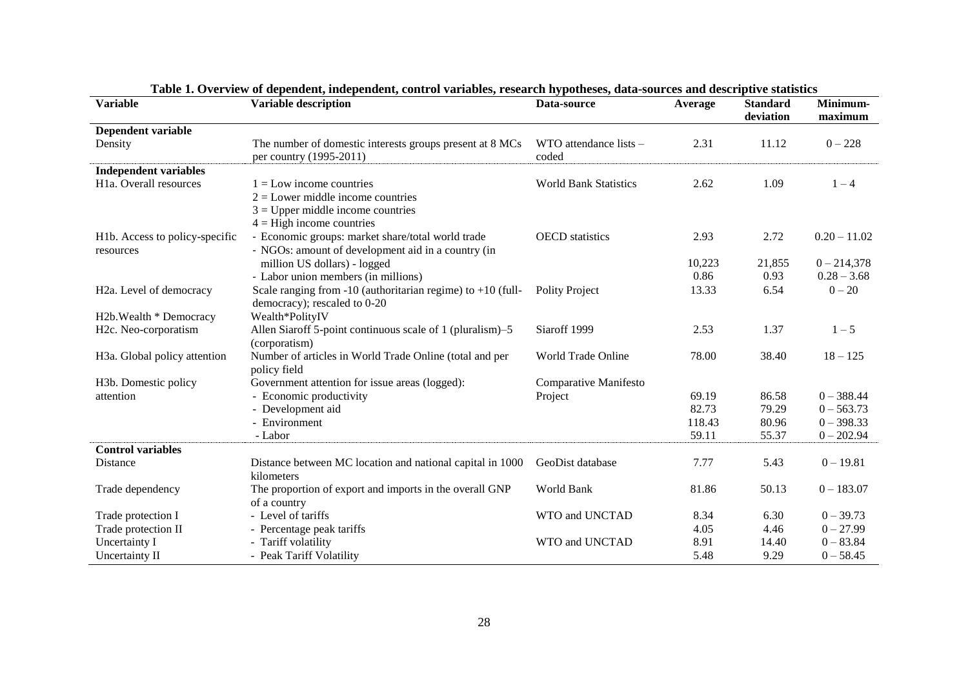| <b>Variable</b>                           | <b>Variable description</b>                                                                     | Data-source                     | Average | <b>Standard</b><br>deviation | Minimum-<br>maximum |
|-------------------------------------------|-------------------------------------------------------------------------------------------------|---------------------------------|---------|------------------------------|---------------------|
| Dependent variable                        |                                                                                                 |                                 |         |                              |                     |
| Density                                   | The number of domestic interests groups present at 8 MCs<br>per country (1995-2011)             | WTO attendance lists -<br>coded | 2.31    | 11.12                        | $0 - 228$           |
| <b>Independent variables</b>              |                                                                                                 |                                 |         |                              |                     |
| H <sub>1</sub> a. Overall resources       | $1 =$ Low income countries                                                                      | <b>World Bank Statistics</b>    | 2.62    | 1.09                         | $1 - 4$             |
|                                           | $2 =$ Lower middle income countries                                                             |                                 |         |                              |                     |
|                                           | $3 =$ Upper middle income countries                                                             |                                 |         |                              |                     |
|                                           | $4 =$ High income countries                                                                     |                                 |         |                              |                     |
| H1b. Access to policy-specific            | - Economic groups: market share/total world trade                                               | <b>OECD</b> statistics          | 2.93    | 2.72                         | $0.20 - 11.02$      |
| resources                                 | - NGOs: amount of development aid in a country (in                                              |                                 |         |                              |                     |
|                                           | million US dollars) - logged                                                                    |                                 | 10,223  | 21,855                       | $0 - 214,378$       |
|                                           | - Labor union members (in millions)                                                             |                                 | 0.86    | 0.93                         | $0.28 - 3.68$       |
| H <sub>2</sub> a. Level of democracy      | Scale ranging from $-10$ (authoritarian regime) to $+10$ (full-<br>democracy); rescaled to 0-20 | <b>Polity Project</b>           | 13.33   | 6.54                         | $0 - 20$            |
| H2b. Wealth * Democracy                   | Wealth*PolityIV                                                                                 |                                 |         |                              |                     |
| H2c. Neo-corporatism                      | Allen Siaroff 5-point continuous scale of 1 (pluralism)–5                                       | Siaroff 1999                    | 2.53    | 1.37                         | $1 - 5$             |
|                                           | (corporatism)                                                                                   |                                 |         |                              |                     |
| H <sub>3</sub> a. Global policy attention | Number of articles in World Trade Online (total and per                                         | World Trade Online              | 78.00   | 38.40                        | $18 - 125$          |
|                                           | policy field                                                                                    |                                 |         |                              |                     |
| H3b. Domestic policy                      | Government attention for issue areas (logged):                                                  | Comparative Manifesto           |         |                              |                     |
| attention                                 | - Economic productivity                                                                         | Project                         | 69.19   | 86.58                        | $0 - 388.44$        |
|                                           | - Development aid                                                                               |                                 | 82.73   | 79.29                        | $0 - 563.73$        |
|                                           | - Environment                                                                                   |                                 | 118.43  | 80.96                        | $0 - 398.33$        |
|                                           | - Labor                                                                                         |                                 | 59.11   | 55.37                        | $0 - 202.94$        |
| <b>Control variables</b>                  |                                                                                                 |                                 |         |                              |                     |
| Distance                                  | Distance between MC location and national capital in 1000                                       | GeoDist database                | 7.77    | 5.43                         | $0 - 19.81$         |
|                                           | kilometers                                                                                      |                                 |         |                              |                     |
| Trade dependency                          | The proportion of export and imports in the overall GNP                                         | World Bank                      | 81.86   | 50.13                        | $0 - 183.07$        |
|                                           | of a country                                                                                    |                                 |         |                              |                     |
| Trade protection I                        | - Level of tariffs                                                                              | WTO and UNCTAD                  | 8.34    | 6.30                         | $0 - 39.73$         |
| Trade protection II                       | - Percentage peak tariffs                                                                       |                                 | 4.05    | 4.46                         | $0 - 27.99$         |
| Uncertainty I                             | - Tariff volatility                                                                             | WTO and UNCTAD                  | 8.91    | 14.40                        | $0 - 83.84$         |
| Uncertainty II                            | - Peak Tariff Volatility                                                                        |                                 | 5.48    | 9.29                         | $0 - 58.45$         |

**Table 1. Overview of dependent, independent, control variables, research hypotheses, data-sources and descriptive statistics**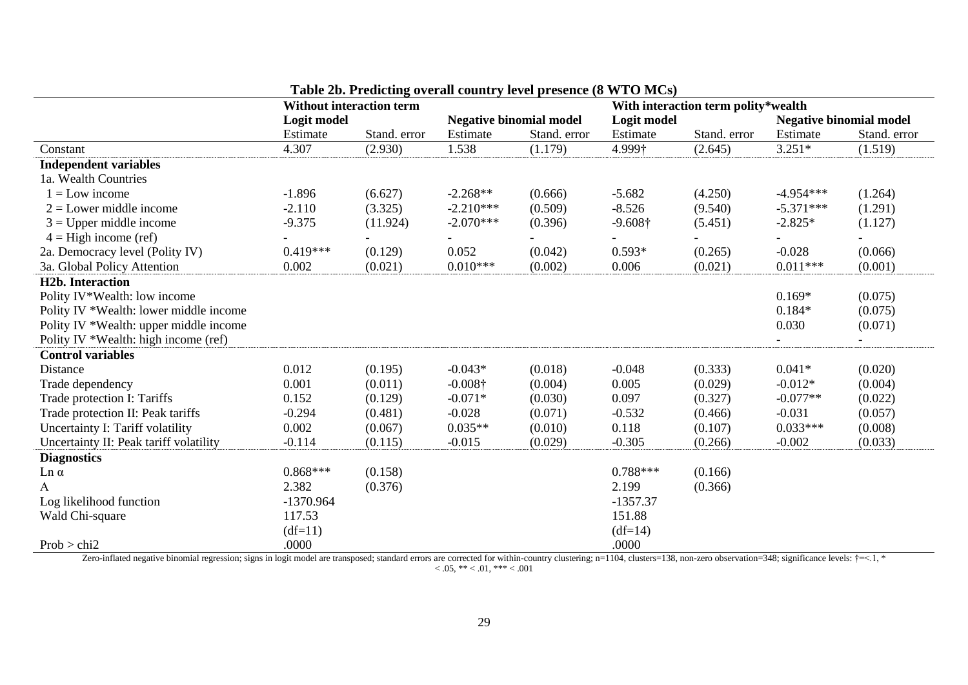|                                        | <b>Without interaction term</b> |              |                                | With interaction term polity*wealth |                 |              |                                |              |
|----------------------------------------|---------------------------------|--------------|--------------------------------|-------------------------------------|-----------------|--------------|--------------------------------|--------------|
|                                        | Logit model                     |              | <b>Negative binomial model</b> |                                     | Logit model     |              | <b>Negative binomial model</b> |              |
|                                        | Estimate                        | Stand. error | Estimate                       | Stand. error                        | Estimate        | Stand. error | Estimate                       | Stand. error |
| Constant                               | 4.307                           | (2.930)      | 1.538                          | (1.179)                             | 4.999†          | (2.645)      | $3.251*$                       | (1.519)      |
| <b>Independent variables</b>           |                                 |              |                                |                                     |                 |              |                                |              |
| 1a. Wealth Countries                   |                                 |              |                                |                                     |                 |              |                                |              |
| $1 = Low$ income                       | $-1.896$                        | (6.627)      | $-2.268**$                     | (0.666)                             | $-5.682$        | (4.250)      | $-4.954***$                    | (1.264)      |
| $2 =$ Lower middle income              | $-2.110$                        | (3.325)      | $-2.210***$                    | (0.509)                             | $-8.526$        | (9.540)      | $-5.371***$                    | (1.291)      |
| $3 =$ Upper middle income              | $-9.375$                        | (11.924)     | $-2.070***$                    | (0.396)                             | $-9.608\dagger$ | (5.451)      | $-2.825*$                      | (1.127)      |
| $4 =$ High income (ref)                |                                 |              |                                |                                     |                 |              |                                |              |
| 2a. Democracy level (Polity IV)        | $0.419***$                      | (0.129)      | 0.052                          | (0.042)                             | $0.593*$        | (0.265)      | $-0.028$                       | (0.066)      |
| 3a. Global Policy Attention            | 0.002                           | (0.021)      | $0.010***$                     | (0.002)                             | 0.006           | (0.021)      | $0.011***$                     | (0.001)      |
| <b>H2b.</b> Interaction                |                                 |              |                                |                                     |                 |              |                                |              |
| Polity IV*Wealth: low income           |                                 |              |                                |                                     |                 |              | $0.169*$                       | (0.075)      |
| Polity IV *Wealth: lower middle income |                                 |              |                                |                                     |                 |              | $0.184*$                       | (0.075)      |
| Polity IV *Wealth: upper middle income |                                 |              |                                |                                     |                 |              | 0.030                          | (0.071)      |
| Polity IV *Wealth: high income (ref)   |                                 |              |                                |                                     |                 |              |                                |              |
| <b>Control variables</b>               |                                 |              |                                |                                     |                 |              |                                |              |
| Distance                               | 0.012                           | (0.195)      | $-0.043*$                      | (0.018)                             | $-0.048$        | (0.333)      | $0.041*$                       | (0.020)      |
| Trade dependency                       | 0.001                           | (0.011)      | $-0.008\dagger$                | (0.004)                             | 0.005           | (0.029)      | $-0.012*$                      | (0.004)      |
| Trade protection I: Tariffs            | 0.152                           | (0.129)      | $-0.071*$                      | (0.030)                             | 0.097           | (0.327)      | $-0.077**$                     | (0.022)      |
| Trade protection II: Peak tariffs      | $-0.294$                        | (0.481)      | $-0.028$                       | (0.071)                             | $-0.532$        | (0.466)      | $-0.031$                       | (0.057)      |
| Uncertainty I: Tariff volatility       | 0.002                           | (0.067)      | $0.035**$                      | (0.010)                             | 0.118           | (0.107)      | $0.033***$                     | (0.008)      |
| Uncertainty II: Peak tariff volatility | $-0.114$                        | (0.115)      | $-0.015$                       | (0.029)                             | $-0.305$        | (0.266)      | $-0.002$                       | (0.033)      |
| <b>Diagnostics</b>                     |                                 |              |                                |                                     |                 |              |                                |              |
| $Ln \alpha$                            | $0.868***$                      | (0.158)      |                                |                                     | $0.788***$      | (0.166)      |                                |              |
| A                                      | 2.382                           | (0.376)      |                                |                                     | 2.199           | (0.366)      |                                |              |
| Log likelihood function                | $-1370.964$                     |              |                                |                                     | $-1357.37$      |              |                                |              |
| Wald Chi-square                        | 117.53                          |              |                                |                                     | 151.88          |              |                                |              |
|                                        | $(df=11)$                       |              |                                |                                     | $(df=14)$       |              |                                |              |
| Prob > chi2                            | .0000                           |              |                                |                                     | .0000           |              |                                |              |

**Table 2b. Predicting overall country level presence (8 WTO MCs)**

Zero-inflated negative binomial regression; signs in logit model are transposed; standard errors are corrected for within-country clustering; n=1104, clusters=138, non-zero observation=348; significance levels:  $\dagger$ =<.1,

 $< 0.05, ** < 0.01,*** < 0.001$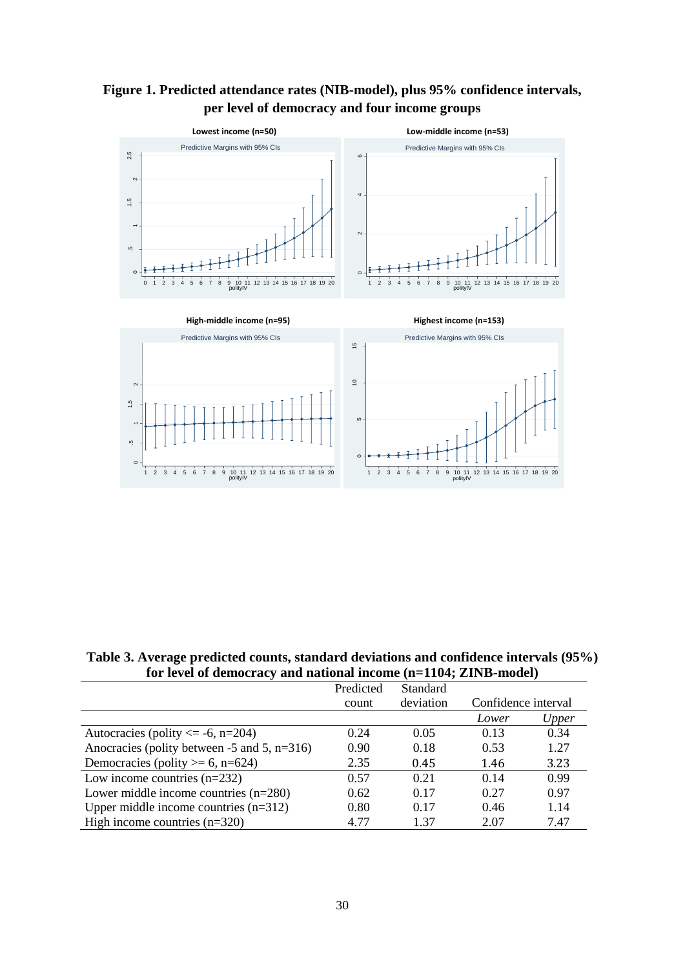



**Table 3. Average predicted counts, standard deviations and confidence intervals (95%) for level of democracy and national income (n=1104; ZINB-model)**

|                                                     | Predicted | Standard  |                     |       |
|-----------------------------------------------------|-----------|-----------|---------------------|-------|
|                                                     | count     | deviation | Confidence interval |       |
|                                                     |           |           | Lower               | Upper |
| Autocracies (polity $\le$ -6, n=204)                | 0.24      | 0.05      | 0.13                | 0.34  |
| Anocracies (polity between $-5$ and $5$ , $n=316$ ) | 0.90      | 0.18      | 0.53                | 1.27  |
| Democracies (polity $>= 6$ , n=624)                 | 2.35      | 0.45      | 1.46                | 3.23  |
| Low income countries $(n=232)$                      | 0.57      | 0.21      | 0.14                | 0.99  |
| Lower middle income countries $(n=280)$             | 0.62      | 0.17      | 0.27                | 0.97  |
| Upper middle income countries $(n=312)$             | 0.80      | 0.17      | 0.46                | 1.14  |
| High income countries $(n=320)$                     | 4.77      | 1.37      | 2.07                | 7.47  |